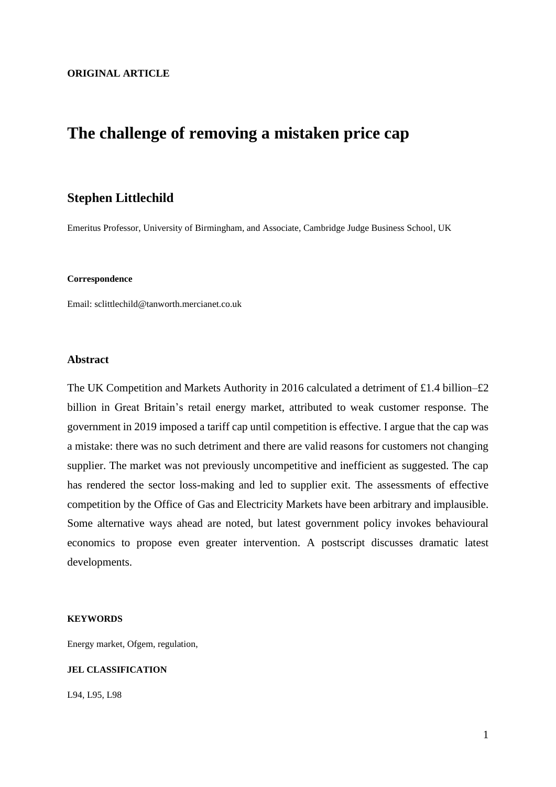## **The challenge of removing a mistaken price cap**

### **Stephen Littlechild**

Emeritus Professor, University of Birmingham, and Associate, Cambridge Judge Business School, UK

#### **Correspondence**

Email: sclittlechild@tanworth.mercianet.co.uk

#### **Abstract**

The UK Competition and Markets Authority in 2016 calculated a detriment of £1.4 billion–£2 billion in Great Britain's retail energy market, attributed to weak customer response. The government in 2019 imposed a tariff cap until competition is effective. I argue that the cap was a mistake: there was no such detriment and there are valid reasons for customers not changing supplier. The market was not previously uncompetitive and inefficient as suggested. The cap has rendered the sector loss-making and led to supplier exit. The assessments of effective competition by the Office of Gas and Electricity Markets have been arbitrary and implausible. Some alternative ways ahead are noted, but latest government policy invokes behavioural economics to propose even greater intervention. A postscript discusses dramatic latest developments.

#### **KEYWORDS**

Energy market, Ofgem, regulation,

### **JEL CLASSIFICATION**

L94, L95, L98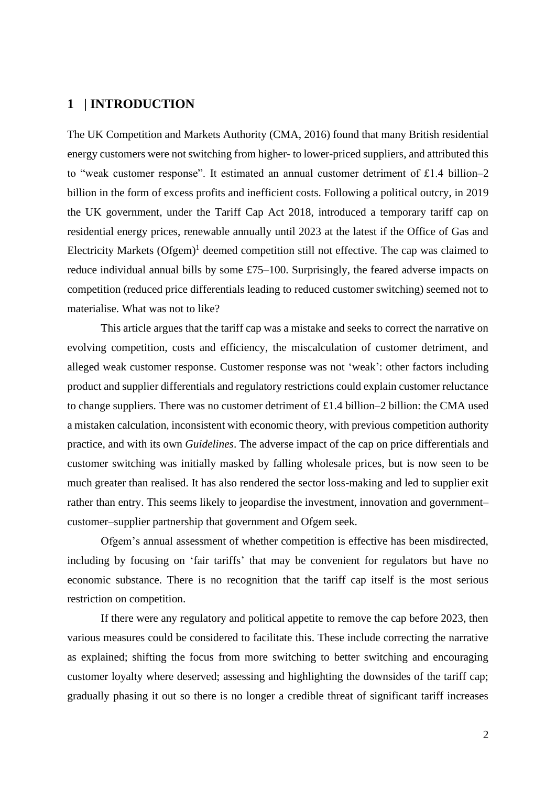## **1 | INTRODUCTION**

The UK Competition and Markets Authority (CMA, 2016) found that many British residential energy customers were not switching from higher- to lower-priced suppliers, and attributed this to "weak customer response". It estimated an annual customer detriment of £1.4 billion–2 billion in the form of excess profits and inefficient costs. Following a political outcry, in 2019 the UK government, under the Tariff Cap Act 2018, introduced a temporary tariff cap on residential energy prices, renewable annually until 2023 at the latest if the Office of Gas and Electricity Markets (Ofgem)<sup>1</sup> deemed competition still not effective. The cap was claimed to reduce individual annual bills by some £75–100. Surprisingly, the feared adverse impacts on competition (reduced price differentials leading to reduced customer switching) seemed not to materialise. What was not to like?

This article argues that the tariff cap was a mistake and seeks to correct the narrative on evolving competition, costs and efficiency, the miscalculation of customer detriment, and alleged weak customer response. Customer response was not 'weak': other factors including product and supplier differentials and regulatory restrictions could explain customer reluctance to change suppliers. There was no customer detriment of £1.4 billion–2 billion: the CMA used a mistaken calculation, inconsistent with economic theory, with previous competition authority practice, and with its own *Guidelines*. The adverse impact of the cap on price differentials and customer switching was initially masked by falling wholesale prices, but is now seen to be much greater than realised. It has also rendered the sector loss-making and led to supplier exit rather than entry. This seems likely to jeopardise the investment, innovation and government– customer–supplier partnership that government and Ofgem seek.

Ofgem's annual assessment of whether competition is effective has been misdirected, including by focusing on 'fair tariffs' that may be convenient for regulators but have no economic substance. There is no recognition that the tariff cap itself is the most serious restriction on competition.

If there were any regulatory and political appetite to remove the cap before 2023, then various measures could be considered to facilitate this. These include correcting the narrative as explained; shifting the focus from more switching to better switching and encouraging customer loyalty where deserved; assessing and highlighting the downsides of the tariff cap; gradually phasing it out so there is no longer a credible threat of significant tariff increases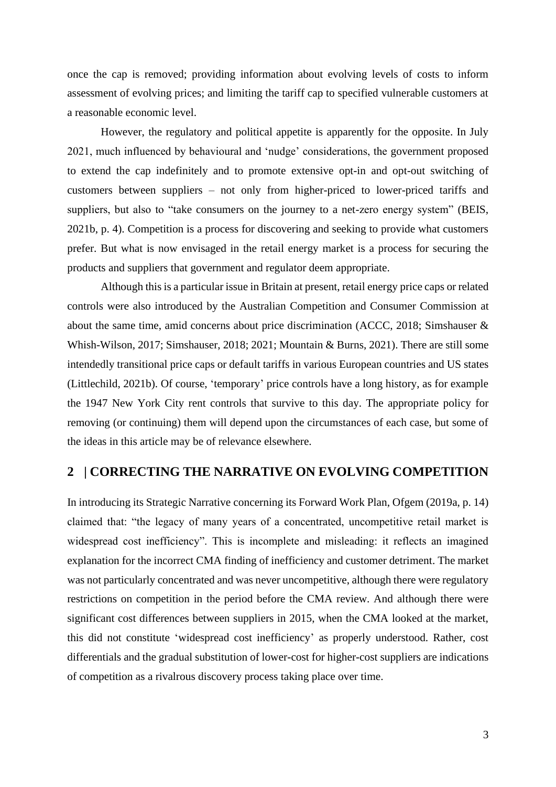once the cap is removed; providing information about evolving levels of costs to inform assessment of evolving prices; and limiting the tariff cap to specified vulnerable customers at a reasonable economic level.

However, the regulatory and political appetite is apparently for the opposite. In July 2021, much influenced by behavioural and 'nudge' considerations, the government proposed to extend the cap indefinitely and to promote extensive opt-in and opt-out switching of customers between suppliers – not only from higher-priced to lower-priced tariffs and suppliers, but also to "take consumers on the journey to a net-zero energy system" (BEIS, 2021b, p. 4). Competition is a process for discovering and seeking to provide what customers prefer. But what is now envisaged in the retail energy market is a process for securing the products and suppliers that government and regulator deem appropriate.

Although this is a particular issue in Britain at present, retail energy price caps or related controls were also introduced by the Australian Competition and Consumer Commission at about the same time, amid concerns about price discrimination (ACCC, 2018; Simshauser & Whish-Wilson, 2017; Simshauser, 2018; 2021; Mountain & Burns, 2021). There are still some intendedly transitional price caps or default tariffs in various European countries and US states (Littlechild, 2021b). Of course, 'temporary' price controls have a long history, as for example the 1947 New York City rent controls that survive to this day. The appropriate policy for removing (or continuing) them will depend upon the circumstances of each case, but some of the ideas in this article may be of relevance elsewhere.

### **2 | CORRECTING THE NARRATIVE ON EVOLVING COMPETITION**

In introducing its Strategic Narrative concerning its Forward Work Plan, Ofgem (2019a, p. 14) claimed that: "the legacy of many years of a concentrated, uncompetitive retail market is widespread cost inefficiency". This is incomplete and misleading: it reflects an imagined explanation for the incorrect CMA finding of inefficiency and customer detriment. The market was not particularly concentrated and was never uncompetitive, although there were regulatory restrictions on competition in the period before the CMA review. And although there were significant cost differences between suppliers in 2015, when the CMA looked at the market, this did not constitute 'widespread cost inefficiency' as properly understood. Rather, cost differentials and the gradual substitution of lower-cost for higher-cost suppliers are indications of competition as a rivalrous discovery process taking place over time.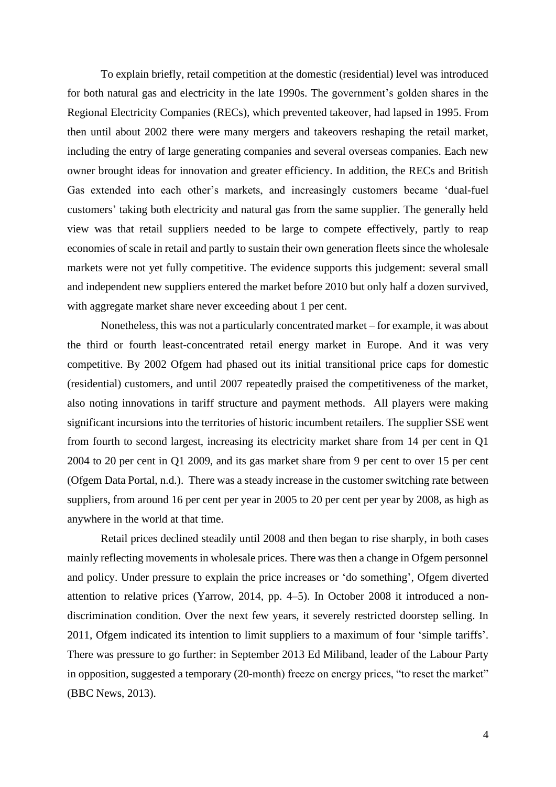To explain briefly, retail competition at the domestic (residential) level was introduced for both natural gas and electricity in the late 1990s. The government's golden shares in the Regional Electricity Companies (RECs), which prevented takeover, had lapsed in 1995. From then until about 2002 there were many mergers and takeovers reshaping the retail market, including the entry of large generating companies and several overseas companies. Each new owner brought ideas for innovation and greater efficiency. In addition, the RECs and British Gas extended into each other's markets, and increasingly customers became 'dual-fuel customers' taking both electricity and natural gas from the same supplier. The generally held view was that retail suppliers needed to be large to compete effectively, partly to reap economies of scale in retail and partly to sustain their own generation fleets since the wholesale markets were not yet fully competitive. The evidence supports this judgement: several small and independent new suppliers entered the market before 2010 but only half a dozen survived, with aggregate market share never exceeding about 1 per cent.

Nonetheless, this was not a particularly concentrated market – for example, it was about the third or fourth least-concentrated retail energy market in Europe. And it was very competitive. By 2002 Ofgem had phased out its initial transitional price caps for domestic (residential) customers, and until 2007 repeatedly praised the competitiveness of the market, also noting innovations in tariff structure and payment methods. All players were making significant incursions into the territories of historic incumbent retailers. The supplier SSE went from fourth to second largest, increasing its electricity market share from 14 per cent in Q1 2004 to 20 per cent in Q1 2009, and its gas market share from 9 per cent to over 15 per cent (Ofgem Data Portal, n.d.). There was a steady increase in the customer switching rate between suppliers, from around 16 per cent per year in 2005 to 20 per cent per year by 2008, as high as anywhere in the world at that time.

Retail prices declined steadily until 2008 and then began to rise sharply, in both cases mainly reflecting movements in wholesale prices. There was then a change in Ofgem personnel and policy. Under pressure to explain the price increases or 'do something', Ofgem diverted attention to relative prices (Yarrow, 2014, pp. 4–5). In October 2008 it introduced a nondiscrimination condition. Over the next few years, it severely restricted doorstep selling. In 2011, Ofgem indicated its intention to limit suppliers to a maximum of four 'simple tariffs'. There was pressure to go further: in September 2013 Ed Miliband, leader of the Labour Party in opposition, suggested a temporary (20-month) freeze on energy prices, "to reset the market" (BBC News, 2013).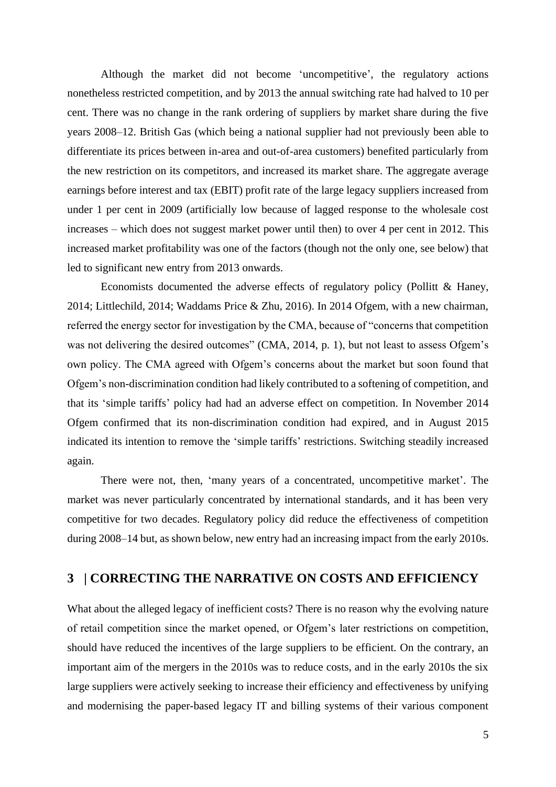Although the market did not become 'uncompetitive', the regulatory actions nonetheless restricted competition, and by 2013 the annual switching rate had halved to 10 per cent. There was no change in the rank ordering of suppliers by market share during the five years 2008–12. British Gas (which being a national supplier had not previously been able to differentiate its prices between in-area and out-of-area customers) benefited particularly from the new restriction on its competitors, and increased its market share. The aggregate average earnings before interest and tax (EBIT) profit rate of the large legacy suppliers increased from under 1 per cent in 2009 (artificially low because of lagged response to the wholesale cost increases – which does not suggest market power until then) to over 4 per cent in 2012. This increased market profitability was one of the factors (though not the only one, see below) that led to significant new entry from 2013 onwards.

Economists documented the adverse effects of regulatory policy (Pollitt & Haney, 2014; Littlechild, 2014; Waddams Price & Zhu, 2016). In 2014 Ofgem, with a new chairman, referred the energy sector for investigation by the CMA, because of "concerns that competition was not delivering the desired outcomes" (CMA, 2014, p. 1), but not least to assess Ofgem's own policy. The CMA agreed with Ofgem's concerns about the market but soon found that Ofgem's non-discrimination condition had likely contributed to a softening of competition, and that its 'simple tariffs' policy had had an adverse effect on competition. In November 2014 Ofgem confirmed that its non-discrimination condition had expired, and in August 2015 indicated its intention to remove the 'simple tariffs' restrictions. Switching steadily increased again.

There were not, then, 'many years of a concentrated, uncompetitive market'. The market was never particularly concentrated by international standards, and it has been very competitive for two decades. Regulatory policy did reduce the effectiveness of competition during 2008–14 but, as shown below, new entry had an increasing impact from the early 2010s.

## **3 | CORRECTING THE NARRATIVE ON COSTS AND EFFICIENCY**

What about the alleged legacy of inefficient costs? There is no reason why the evolving nature of retail competition since the market opened, or Ofgem's later restrictions on competition, should have reduced the incentives of the large suppliers to be efficient. On the contrary, an important aim of the mergers in the 2010s was to reduce costs, and in the early 2010s the six large suppliers were actively seeking to increase their efficiency and effectiveness by unifying and modernising the paper-based legacy IT and billing systems of their various component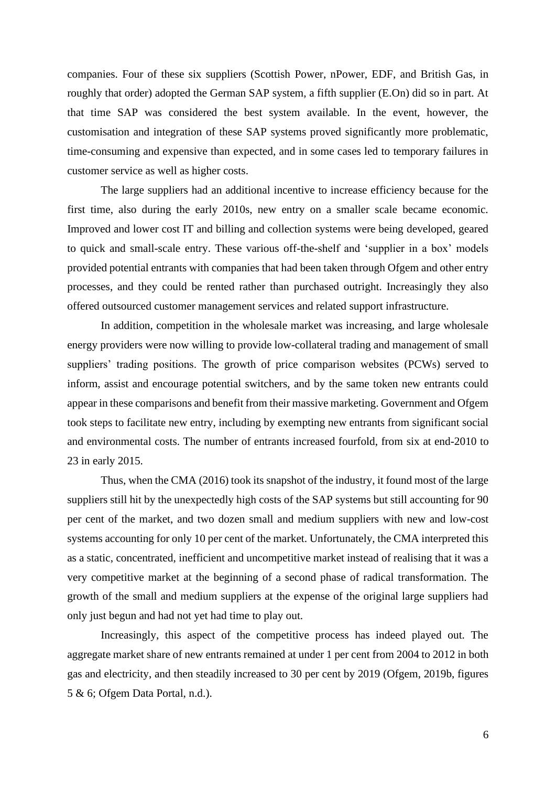companies. Four of these six suppliers (Scottish Power, nPower, EDF, and British Gas, in roughly that order) adopted the German SAP system, a fifth supplier (E.On) did so in part. At that time SAP was considered the best system available. In the event, however, the customisation and integration of these SAP systems proved significantly more problematic, time-consuming and expensive than expected, and in some cases led to temporary failures in customer service as well as higher costs.

The large suppliers had an additional incentive to increase efficiency because for the first time, also during the early 2010s, new entry on a smaller scale became economic. Improved and lower cost IT and billing and collection systems were being developed, geared to quick and small-scale entry. These various off-the-shelf and 'supplier in a box' models provided potential entrants with companies that had been taken through Ofgem and other entry processes, and they could be rented rather than purchased outright. Increasingly they also offered outsourced customer management services and related support infrastructure.

In addition, competition in the wholesale market was increasing, and large wholesale energy providers were now willing to provide low-collateral trading and management of small suppliers' trading positions. The growth of price comparison websites (PCWs) served to inform, assist and encourage potential switchers, and by the same token new entrants could appear in these comparisons and benefit from their massive marketing. Government and Ofgem took steps to facilitate new entry, including by exempting new entrants from significant social and environmental costs. The number of entrants increased fourfold, from six at end-2010 to 23 in early 2015.

Thus, when the CMA (2016) took its snapshot of the industry, it found most of the large suppliers still hit by the unexpectedly high costs of the SAP systems but still accounting for 90 per cent of the market, and two dozen small and medium suppliers with new and low-cost systems accounting for only 10 per cent of the market. Unfortunately, the CMA interpreted this as a static, concentrated, inefficient and uncompetitive market instead of realising that it was a very competitive market at the beginning of a second phase of radical transformation. The growth of the small and medium suppliers at the expense of the original large suppliers had only just begun and had not yet had time to play out.

Increasingly, this aspect of the competitive process has indeed played out. The aggregate market share of new entrants remained at under 1 per cent from 2004 to 2012 in both gas and electricity, and then steadily increased to 30 per cent by 2019 (Ofgem, 2019b, figures 5 & 6; Ofgem Data Portal, n.d.).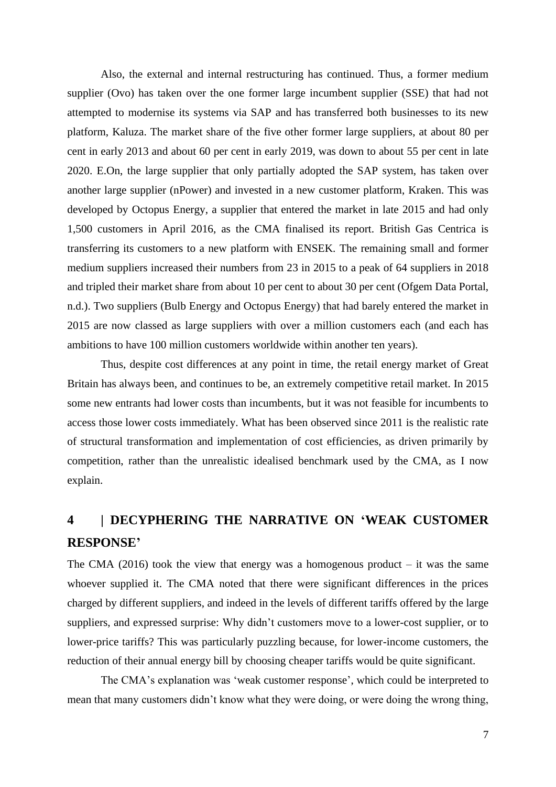Also, the external and internal restructuring has continued. Thus, a former medium supplier (Ovo) has taken over the one former large incumbent supplier (SSE) that had not attempted to modernise its systems via SAP and has transferred both businesses to its new platform, Kaluza. The market share of the five other former large suppliers, at about 80 per cent in early 2013 and about 60 per cent in early 2019, was down to about 55 per cent in late 2020. E.On, the large supplier that only partially adopted the SAP system, has taken over another large supplier (nPower) and invested in a new customer platform, Kraken. This was developed by Octopus Energy, a supplier that entered the market in late 2015 and had only 1,500 customers in April 2016, as the CMA finalised its report. British Gas Centrica is transferring its customers to a new platform with ENSEK. The remaining small and former medium suppliers increased their numbers from 23 in 2015 to a peak of 64 suppliers in 2018 and tripled their market share from about 10 per cent to about 30 per cent (Ofgem Data Portal, n.d.). Two suppliers (Bulb Energy and Octopus Energy) that had barely entered the market in 2015 are now classed as large suppliers with over a million customers each (and each has ambitions to have 100 million customers worldwide within another ten years).

Thus, despite cost differences at any point in time, the retail energy market of Great Britain has always been, and continues to be, an extremely competitive retail market. In 2015 some new entrants had lower costs than incumbents, but it was not feasible for incumbents to access those lower costs immediately. What has been observed since 2011 is the realistic rate of structural transformation and implementation of cost efficiencies, as driven primarily by competition, rather than the unrealistic idealised benchmark used by the CMA, as I now explain.

# **4 | DECYPHERING THE NARRATIVE ON 'WEAK CUSTOMER RESPONSE'**

The CMA (2016) took the view that energy was a homogenous product  $-$  it was the same whoever supplied it. The CMA noted that there were significant differences in the prices charged by different suppliers, and indeed in the levels of different tariffs offered by the large suppliers, and expressed surprise: Why didn't customers move to a lower-cost supplier, or to lower-price tariffs? This was particularly puzzling because, for lower-income customers, the reduction of their annual energy bill by choosing cheaper tariffs would be quite significant.

The CMA's explanation was 'weak customer response', which could be interpreted to mean that many customers didn't know what they were doing, or were doing the wrong thing,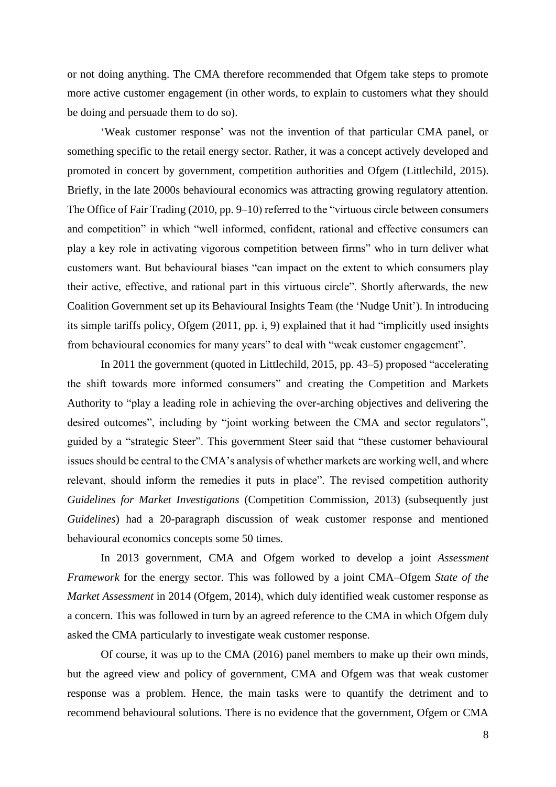or not doing anything. The CMA therefore recommended that Ofgem take steps to promote more active customer engagement (in other words, to explain to customers what they should be doing and persuade them to do so).

'Weak customer response' was not the invention of that particular CMA panel, or something specific to the retail energy sector. Rather, it was a concept actively developed and promoted in concert by government, competition authorities and Ofgem (Littlechild, 2015). Briefly, in the late 2000s behavioural economics was attracting growing regulatory attention. The Office of Fair Trading (2010, pp. 9–10) referred to the "virtuous circle between consumers and competition" in which "well informed, confident, rational and effective consumers can play a key role in activating vigorous competition between firms" who in turn deliver what customers want. But behavioural biases "can impact on the extent to which consumers play their active, effective, and rational part in this virtuous circle". Shortly afterwards, the new Coalition Government set up its Behavioural Insights Team (the 'Nudge Unit'). In introducing its simple tariffs policy, Ofgem (2011, pp. i, 9) explained that it had "implicitly used insights from behavioural economics for many years" to deal with "weak customer engagement".

In 2011 the government (quoted in Littlechild, 2015, pp. 43–5) proposed "accelerating the shift towards more informed consumers" and creating the Competition and Markets Authority to "play a leading role in achieving the over-arching objectives and delivering the desired outcomes", including by "joint working between the CMA and sector regulators", guided by a "strategic Steer". This government Steer said that "these customer behavioural issues should be central to the CMA's analysis of whether markets are working well, and where relevant, should inform the remedies it puts in place". The revised competition authority *Guidelines for Market Investigations* (Competition Commission, 2013) (subsequently just *Guidelines*) had a 20-paragraph discussion of weak customer response and mentioned behavioural economics concepts some 50 times.

In 2013 government, CMA and Ofgem worked to develop a joint *Assessment Framework* for the energy sector. This was followed by a joint CMA–Ofgem *State of the Market Assessment* in 2014 (Ofgem, 2014), which duly identified weak customer response as a concern. This was followed in turn by an agreed reference to the CMA in which Ofgem duly asked the CMA particularly to investigate weak customer response.

Of course, it was up to the CMA (2016) panel members to make up their own minds, but the agreed view and policy of government, CMA and Ofgem was that weak customer response was a problem. Hence, the main tasks were to quantify the detriment and to recommend behavioural solutions. There is no evidence that the government, Ofgem or CMA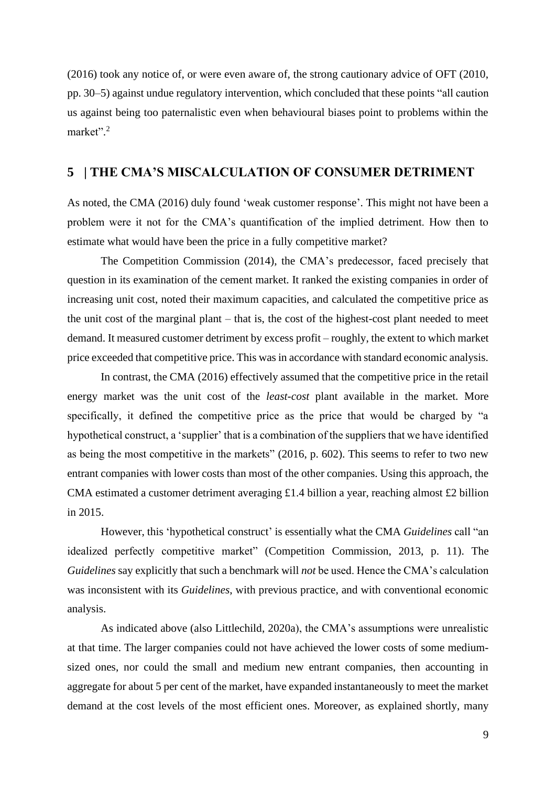(2016) took any notice of, or were even aware of, the strong cautionary advice of OFT (2010, pp. 30–5) against undue regulatory intervention, which concluded that these points "all caution us against being too paternalistic even when behavioural biases point to problems within the market".<sup>2</sup>

## **5 | THE CMA'S MISCALCULATION OF CONSUMER DETRIMENT**

As noted, the CMA (2016) duly found 'weak customer response'. This might not have been a problem were it not for the CMA's quantification of the implied detriment. How then to estimate what would have been the price in a fully competitive market?

The Competition Commission (2014), the CMA's predecessor, faced precisely that question in its examination of the cement market. It ranked the existing companies in order of increasing unit cost, noted their maximum capacities, and calculated the competitive price as the unit cost of the marginal plant – that is, the cost of the highest-cost plant needed to meet demand. It measured customer detriment by excess profit – roughly, the extent to which market price exceeded that competitive price. This was in accordance with standard economic analysis.

In contrast, the CMA (2016) effectively assumed that the competitive price in the retail energy market was the unit cost of the *least-cost* plant available in the market. More specifically, it defined the competitive price as the price that would be charged by "a hypothetical construct, a 'supplier' that is a combination of the suppliers that we have identified as being the most competitive in the markets" (2016, p. 602). This seems to refer to two new entrant companies with lower costs than most of the other companies. Using this approach, the CMA estimated a customer detriment averaging £1.4 billion a year, reaching almost £2 billion in 2015.

However, this 'hypothetical construct' is essentially what the CMA *Guidelines* call "an idealized perfectly competitive market" (Competition Commission, 2013, p. 11). The *Guidelines* say explicitly that such a benchmark will *not* be used. Hence the CMA's calculation was inconsistent with its *Guidelines*, with previous practice, and with conventional economic analysis.

As indicated above (also Littlechild, 2020a), the CMA's assumptions were unrealistic at that time. The larger companies could not have achieved the lower costs of some mediumsized ones, nor could the small and medium new entrant companies, then accounting in aggregate for about 5 per cent of the market, have expanded instantaneously to meet the market demand at the cost levels of the most efficient ones. Moreover, as explained shortly, many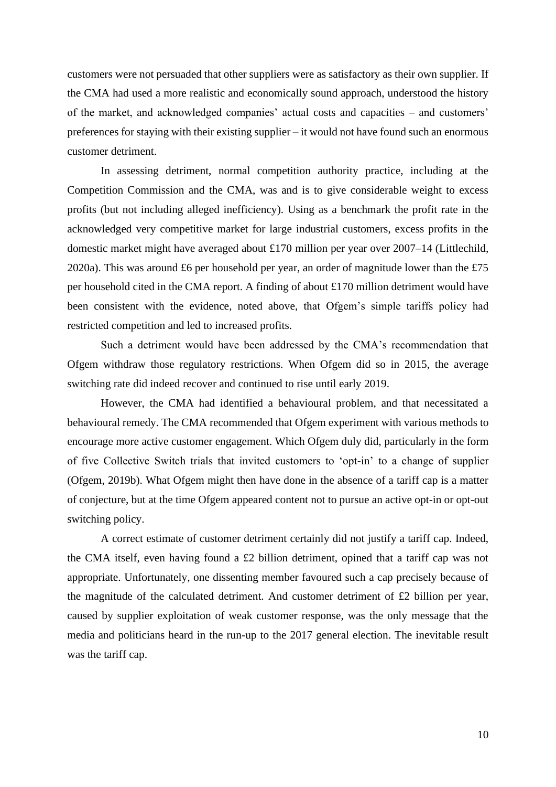customers were not persuaded that other suppliers were as satisfactory as their own supplier. If the CMA had used a more realistic and economically sound approach, understood the history of the market, and acknowledged companies' actual costs and capacities – and customers' preferences for staying with their existing supplier – it would not have found such an enormous customer detriment.

In assessing detriment, normal competition authority practice, including at the Competition Commission and the CMA, was and is to give considerable weight to excess profits (but not including alleged inefficiency). Using as a benchmark the profit rate in the acknowledged very competitive market for large industrial customers, excess profits in the domestic market might have averaged about £170 million per year over 2007–14 (Littlechild, 2020a). This was around £6 per household per year, an order of magnitude lower than the £75 per household cited in the CMA report. A finding of about £170 million detriment would have been consistent with the evidence, noted above, that Ofgem's simple tariffs policy had restricted competition and led to increased profits.

Such a detriment would have been addressed by the CMA's recommendation that Ofgem withdraw those regulatory restrictions. When Ofgem did so in 2015, the average switching rate did indeed recover and continued to rise until early 2019.

However, the CMA had identified a behavioural problem, and that necessitated a behavioural remedy. The CMA recommended that Ofgem experiment with various methods to encourage more active customer engagement. Which Ofgem duly did, particularly in the form of five Collective Switch trials that invited customers to 'opt-in' to a change of supplier (Ofgem, 2019b). What Ofgem might then have done in the absence of a tariff cap is a matter of conjecture, but at the time Ofgem appeared content not to pursue an active opt-in or opt-out switching policy.

A correct estimate of customer detriment certainly did not justify a tariff cap. Indeed, the CMA itself, even having found a £2 billion detriment, opined that a tariff cap was not appropriate. Unfortunately, one dissenting member favoured such a cap precisely because of the magnitude of the calculated detriment. And customer detriment of £2 billion per year, caused by supplier exploitation of weak customer response, was the only message that the media and politicians heard in the run-up to the 2017 general election. The inevitable result was the tariff cap.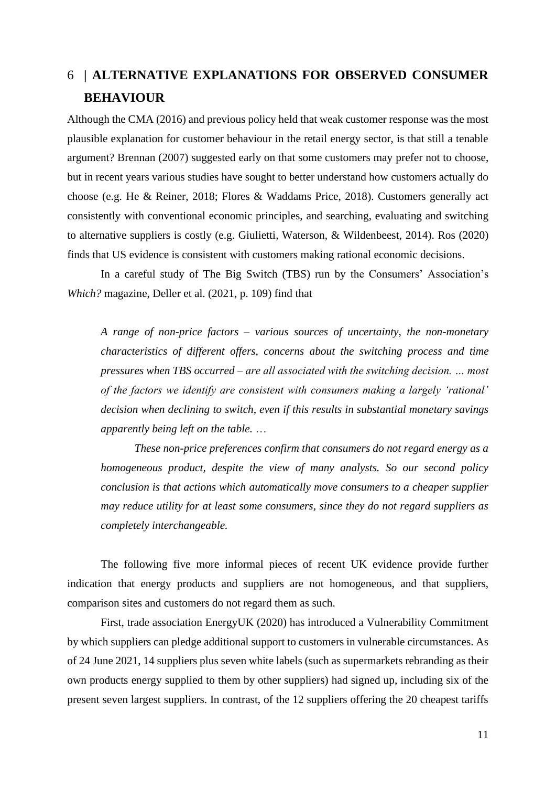# 6 **| ALTERNATIVE EXPLANATIONS FOR OBSERVED CONSUMER BEHAVIOUR**

Although the CMA (2016) and previous policy held that weak customer response was the most plausible explanation for customer behaviour in the retail energy sector, is that still a tenable argument? Brennan (2007) suggested early on that some customers may prefer not to choose, but in recent years various studies have sought to better understand how customers actually do choose (e.g. He & Reiner, 2018; Flores & Waddams Price, 2018). Customers generally act consistently with conventional economic principles, and searching, evaluating and switching to alternative suppliers is costly (e.g. Giulietti, Waterson, & Wildenbeest, 2014). Ros (2020) finds that US evidence is consistent with customers making rational economic decisions.

In a careful study of The Big Switch (TBS) run by the Consumers' Association's *Which?* magazine, Deller et al. (2021, p. 109) find that

*A range of non-price factors – various sources of uncertainty, the non-monetary characteristics of different offers, concerns about the switching process and time pressures when TBS occurred – are all associated with the switching decision. … most of the factors we identify are consistent with consumers making a largely 'rational' decision when declining to switch, even if this results in substantial monetary savings apparently being left on the table.* …

*These non-price preferences confirm that consumers do not regard energy as a homogeneous product, despite the view of many analysts. So our second policy conclusion is that actions which automatically move consumers to a cheaper supplier may reduce utility for at least some consumers, since they do not regard suppliers as completely interchangeable.*

The following five more informal pieces of recent UK evidence provide further indication that energy products and suppliers are not homogeneous, and that suppliers, comparison sites and customers do not regard them as such.

First, trade association EnergyUK (2020) has introduced a Vulnerability Commitment by which suppliers can pledge additional support to customers in vulnerable circumstances. As of 24 June 2021, 14 suppliers plus seven white labels (such as supermarkets rebranding as their own products energy supplied to them by other suppliers) had signed up, including six of the present seven largest suppliers. In contrast, of the 12 suppliers offering the 20 cheapest tariffs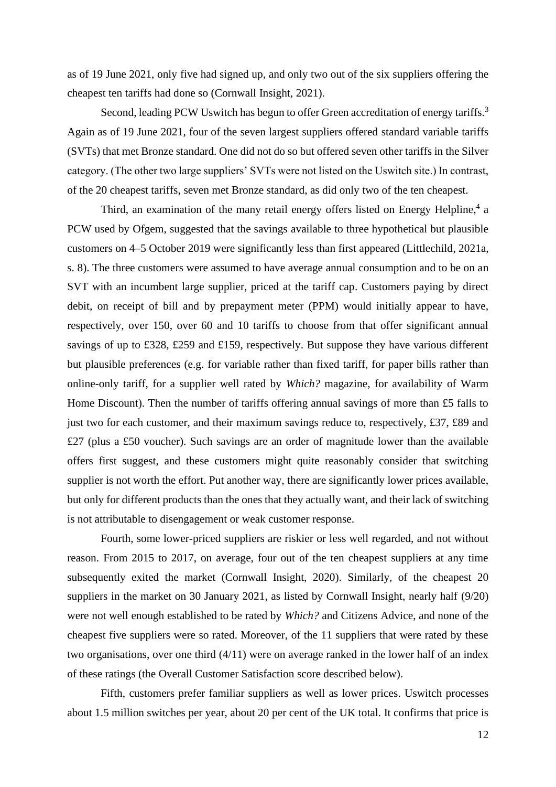as of 19 June 2021, only five had signed up, and only two out of the six suppliers offering the cheapest ten tariffs had done so (Cornwall Insight, 2021).

Second, leading PCW Uswitch has begun to offer Green accreditation of energy tariffs.<sup>3</sup> Again as of 19 June 2021, four of the seven largest suppliers offered standard variable tariffs (SVTs) that met Bronze standard. One did not do so but offered seven other tariffs in the Silver category. (The other two large suppliers' SVTs were not listed on the Uswitch site.) In contrast, of the 20 cheapest tariffs, seven met Bronze standard, as did only two of the ten cheapest.

Third, an examination of the many retail energy offers listed on Energy Helpline,<sup>4</sup> a PCW used by Ofgem, suggested that the savings available to three hypothetical but plausible customers on 4–5 October 2019 were significantly less than first appeared (Littlechild, 2021a, s. 8). The three customers were assumed to have average annual consumption and to be on an SVT with an incumbent large supplier, priced at the tariff cap. Customers paying by direct debit, on receipt of bill and by prepayment meter (PPM) would initially appear to have, respectively, over 150, over 60 and 10 tariffs to choose from that offer significant annual savings of up to £328, £259 and £159, respectively. But suppose they have various different but plausible preferences (e.g. for variable rather than fixed tariff, for paper bills rather than online-only tariff, for a supplier well rated by *Which?* magazine, for availability of Warm Home Discount). Then the number of tariffs offering annual savings of more than £5 falls to just two for each customer, and their maximum savings reduce to, respectively, £37, £89 and £27 (plus a £50 voucher). Such savings are an order of magnitude lower than the available offers first suggest, and these customers might quite reasonably consider that switching supplier is not worth the effort. Put another way, there are significantly lower prices available, but only for different products than the ones that they actually want, and their lack of switching is not attributable to disengagement or weak customer response.

Fourth, some lower-priced suppliers are riskier or less well regarded, and not without reason. From 2015 to 2017, on average, four out of the ten cheapest suppliers at any time subsequently exited the market (Cornwall Insight, 2020). Similarly, of the cheapest 20 suppliers in the market on 30 January 2021, as listed by Cornwall Insight, nearly half (9/20) were not well enough established to be rated by *Which?* and Citizens Advice, and none of the cheapest five suppliers were so rated. Moreover, of the 11 suppliers that were rated by these two organisations, over one third (4/11) were on average ranked in the lower half of an index of these ratings (the Overall Customer Satisfaction score described below).

Fifth, customers prefer familiar suppliers as well as lower prices. Uswitch processes about 1.5 million switches per year, about 20 per cent of the UK total. It confirms that price is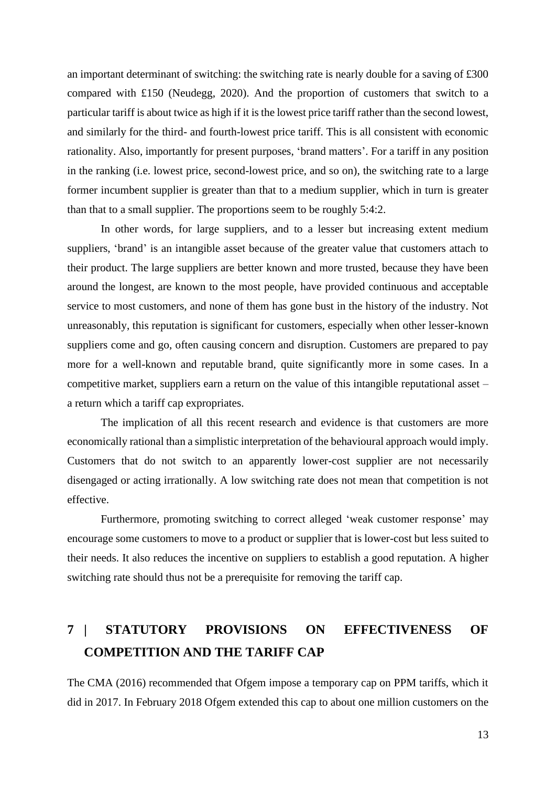an important determinant of switching: the switching rate is nearly double for a saving of £300 compared with £150 (Neudegg, 2020). And the proportion of customers that switch to a particular tariff is about twice as high if it is the lowest price tariff rather than the second lowest, and similarly for the third- and fourth-lowest price tariff. This is all consistent with economic rationality. Also, importantly for present purposes, 'brand matters'. For a tariff in any position in the ranking (i.e. lowest price, second-lowest price, and so on), the switching rate to a large former incumbent supplier is greater than that to a medium supplier, which in turn is greater than that to a small supplier. The proportions seem to be roughly 5:4:2.

In other words, for large suppliers, and to a lesser but increasing extent medium suppliers, 'brand' is an intangible asset because of the greater value that customers attach to their product. The large suppliers are better known and more trusted, because they have been around the longest, are known to the most people, have provided continuous and acceptable service to most customers, and none of them has gone bust in the history of the industry. Not unreasonably, this reputation is significant for customers, especially when other lesser-known suppliers come and go, often causing concern and disruption. Customers are prepared to pay more for a well-known and reputable brand, quite significantly more in some cases. In a competitive market, suppliers earn a return on the value of this intangible reputational asset – a return which a tariff cap expropriates.

The implication of all this recent research and evidence is that customers are more economically rational than a simplistic interpretation of the behavioural approach would imply. Customers that do not switch to an apparently lower-cost supplier are not necessarily disengaged or acting irrationally. A low switching rate does not mean that competition is not effective.

Furthermore, promoting switching to correct alleged 'weak customer response' may encourage some customers to move to a product or supplier that is lower-cost but less suited to their needs. It also reduces the incentive on suppliers to establish a good reputation. A higher switching rate should thus not be a prerequisite for removing the tariff cap.

# **7 | STATUTORY PROVISIONS ON EFFECTIVENESS OF COMPETITION AND THE TARIFF CAP**

The CMA (2016) recommended that Ofgem impose a temporary cap on PPM tariffs, which it did in 2017. In February 2018 Ofgem extended this cap to about one million customers on the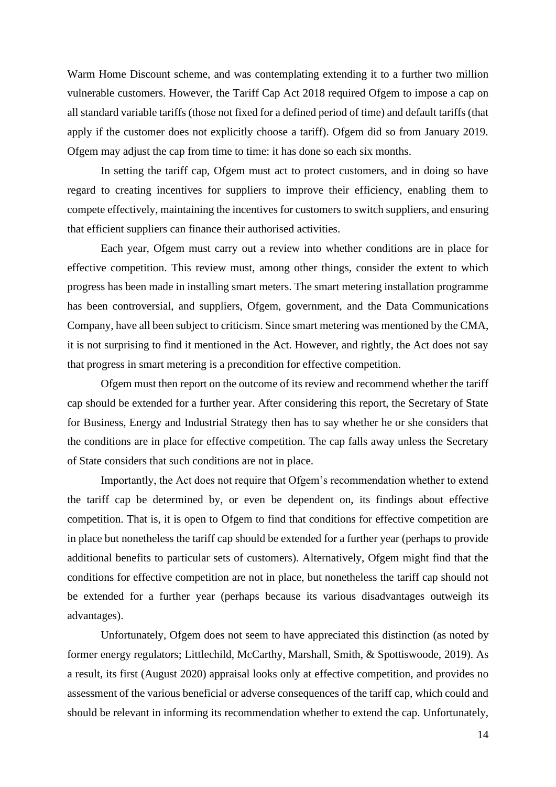Warm Home Discount scheme, and was contemplating extending it to a further two million vulnerable customers. However, the Tariff Cap Act 2018 required Ofgem to impose a cap on all standard variable tariffs (those not fixed for a defined period of time) and default tariffs (that apply if the customer does not explicitly choose a tariff). Ofgem did so from January 2019. Ofgem may adjust the cap from time to time: it has done so each six months.

In setting the tariff cap, Ofgem must act to protect customers, and in doing so have regard to creating incentives for suppliers to improve their efficiency, enabling them to compete effectively, maintaining the incentives for customers to switch suppliers, and ensuring that efficient suppliers can finance their authorised activities.

Each year, Ofgem must carry out a review into whether conditions are in place for effective competition. This review must, among other things, consider the extent to which progress has been made in installing smart meters. The smart metering installation programme has been controversial, and suppliers, Ofgem, government, and the Data Communications Company, have all been subject to criticism. Since smart metering was mentioned by the CMA, it is not surprising to find it mentioned in the Act. However, and rightly, the Act does not say that progress in smart metering is a precondition for effective competition.

Ofgem must then report on the outcome of its review and recommend whether the tariff cap should be extended for a further year. After considering this report, the Secretary of State for Business, Energy and Industrial Strategy then has to say whether he or she considers that the conditions are in place for effective competition. The cap falls away unless the Secretary of State considers that such conditions are not in place.

Importantly, the Act does not require that Ofgem's recommendation whether to extend the tariff cap be determined by, or even be dependent on, its findings about effective competition. That is, it is open to Ofgem to find that conditions for effective competition are in place but nonetheless the tariff cap should be extended for a further year (perhaps to provide additional benefits to particular sets of customers). Alternatively, Ofgem might find that the conditions for effective competition are not in place, but nonetheless the tariff cap should not be extended for a further year (perhaps because its various disadvantages outweigh its advantages).

Unfortunately, Ofgem does not seem to have appreciated this distinction (as noted by former energy regulators; Littlechild, McCarthy, Marshall, Smith, & Spottiswoode, 2019). As a result, its first (August 2020) appraisal looks only at effective competition, and provides no assessment of the various beneficial or adverse consequences of the tariff cap, which could and should be relevant in informing its recommendation whether to extend the cap. Unfortunately,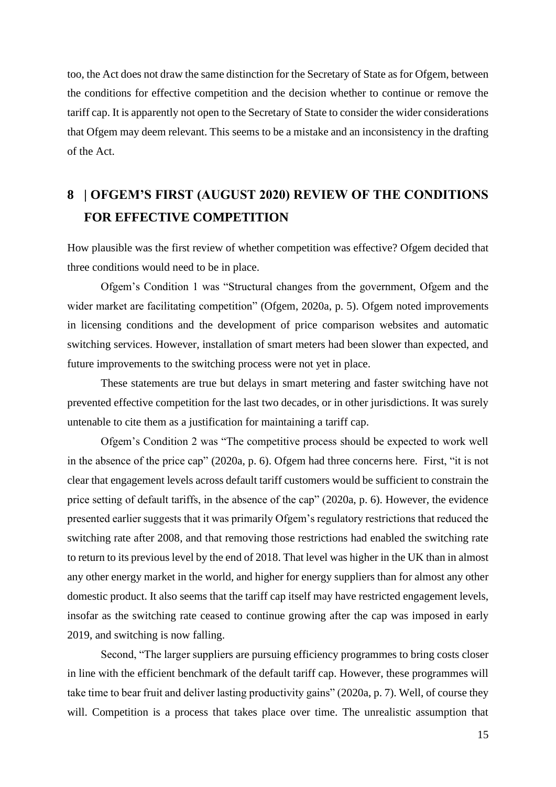too, the Act does not draw the same distinction for the Secretary of State as for Ofgem, between the conditions for effective competition and the decision whether to continue or remove the tariff cap. It is apparently not open to the Secretary of State to consider the wider considerations that Ofgem may deem relevant. This seems to be a mistake and an inconsistency in the drafting of the Act.

# **8 | OFGEM'S FIRST (AUGUST 2020) REVIEW OF THE CONDITIONS FOR EFFECTIVE COMPETITION**

How plausible was the first review of whether competition was effective? Ofgem decided that three conditions would need to be in place.

Ofgem's Condition 1 was "Structural changes from the government, Ofgem and the wider market are facilitating competition" (Ofgem, 2020a, p. 5). Ofgem noted improvements in licensing conditions and the development of price comparison websites and automatic switching services. However, installation of smart meters had been slower than expected, and future improvements to the switching process were not yet in place.

These statements are true but delays in smart metering and faster switching have not prevented effective competition for the last two decades, or in other jurisdictions. It was surely untenable to cite them as a justification for maintaining a tariff cap.

Ofgem's Condition 2 was "The competitive process should be expected to work well in the absence of the price cap" (2020a, p. 6). Ofgem had three concerns here. First, "it is not clear that engagement levels across default tariff customers would be sufficient to constrain the price setting of default tariffs, in the absence of the cap" (2020a, p. 6). However, the evidence presented earlier suggests that it was primarily Ofgem's regulatory restrictions that reduced the switching rate after 2008, and that removing those restrictions had enabled the switching rate to return to its previous level by the end of 2018. That level was higher in the UK than in almost any other energy market in the world, and higher for energy suppliers than for almost any other domestic product. It also seems that the tariff cap itself may have restricted engagement levels, insofar as the switching rate ceased to continue growing after the cap was imposed in early 2019, and switching is now falling.

Second, "The larger suppliers are pursuing efficiency programmes to bring costs closer in line with the efficient benchmark of the default tariff cap. However, these programmes will take time to bear fruit and deliver lasting productivity gains" (2020a, p. 7). Well, of course they will. Competition is a process that takes place over time. The unrealistic assumption that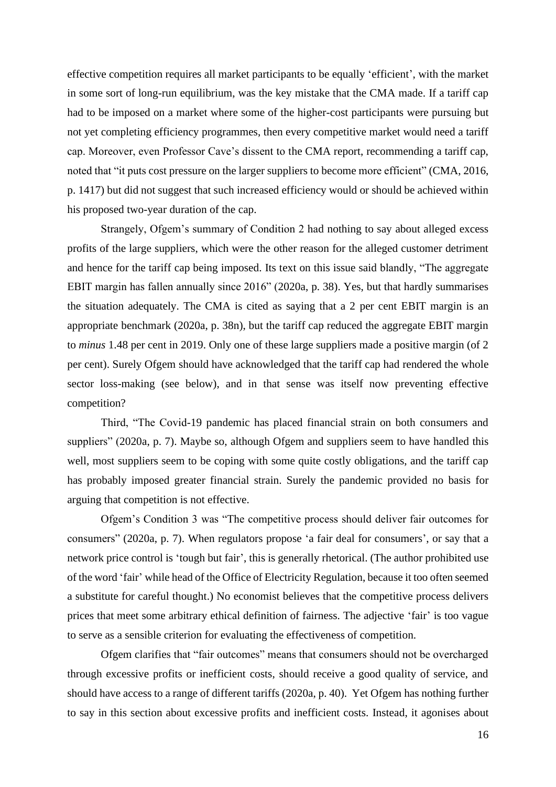effective competition requires all market participants to be equally 'efficient', with the market in some sort of long-run equilibrium, was the key mistake that the CMA made. If a tariff cap had to be imposed on a market where some of the higher-cost participants were pursuing but not yet completing efficiency programmes, then every competitive market would need a tariff cap. Moreover, even Professor Cave's dissent to the CMA report, recommending a tariff cap, noted that "it puts cost pressure on the larger suppliers to become more efficient" (CMA, 2016, p. 1417) but did not suggest that such increased efficiency would or should be achieved within his proposed two-year duration of the cap.

Strangely, Ofgem's summary of Condition 2 had nothing to say about alleged excess profits of the large suppliers, which were the other reason for the alleged customer detriment and hence for the tariff cap being imposed. Its text on this issue said blandly, "The aggregate EBIT margin has fallen annually since 2016" (2020a, p. 38). Yes, but that hardly summarises the situation adequately. The CMA is cited as saying that a 2 per cent EBIT margin is an appropriate benchmark (2020a, p. 38n), but the tariff cap reduced the aggregate EBIT margin to *minus* 1.48 per cent in 2019. Only one of these large suppliers made a positive margin (of 2 per cent). Surely Ofgem should have acknowledged that the tariff cap had rendered the whole sector loss-making (see below), and in that sense was itself now preventing effective competition?

Third, "The Covid-19 pandemic has placed financial strain on both consumers and suppliers" (2020a, p. 7). Maybe so, although Ofgem and suppliers seem to have handled this well, most suppliers seem to be coping with some quite costly obligations, and the tariff cap has probably imposed greater financial strain. Surely the pandemic provided no basis for arguing that competition is not effective.

Ofgem's Condition 3 was "The competitive process should deliver fair outcomes for consumers" (2020a, p. 7). When regulators propose 'a fair deal for consumers', or say that a network price control is 'tough but fair', this is generally rhetorical. (The author prohibited use of the word 'fair' while head of the Office of Electricity Regulation, because it too often seemed a substitute for careful thought.) No economist believes that the competitive process delivers prices that meet some arbitrary ethical definition of fairness. The adjective 'fair' is too vague to serve as a sensible criterion for evaluating the effectiveness of competition.

Ofgem clarifies that "fair outcomes" means that consumers should not be overcharged through excessive profits or inefficient costs, should receive a good quality of service, and should have access to a range of different tariffs (2020a, p. 40). Yet Ofgem has nothing further to say in this section about excessive profits and inefficient costs. Instead, it agonises about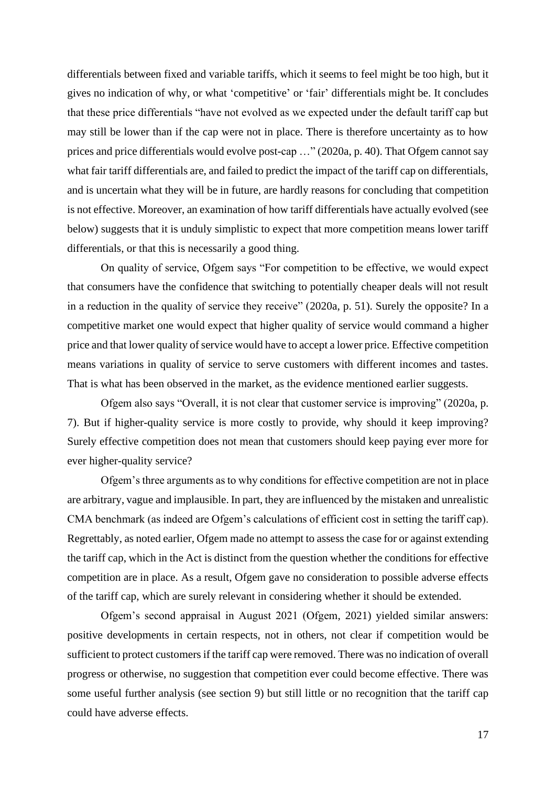differentials between fixed and variable tariffs, which it seems to feel might be too high, but it gives no indication of why, or what 'competitive' or 'fair' differentials might be. It concludes that these price differentials "have not evolved as we expected under the default tariff cap but may still be lower than if the cap were not in place. There is therefore uncertainty as to how prices and price differentials would evolve post-cap …" (2020a, p. 40). That Ofgem cannot say what fair tariff differentials are, and failed to predict the impact of the tariff cap on differentials, and is uncertain what they will be in future, are hardly reasons for concluding that competition is not effective. Moreover, an examination of how tariff differentials have actually evolved (see below) suggests that it is unduly simplistic to expect that more competition means lower tariff differentials, or that this is necessarily a good thing.

On quality of service, Ofgem says "For competition to be effective, we would expect that consumers have the confidence that switching to potentially cheaper deals will not result in a reduction in the quality of service they receive" (2020a, p. 51). Surely the opposite? In a competitive market one would expect that higher quality of service would command a higher price and that lower quality of service would have to accept a lower price. Effective competition means variations in quality of service to serve customers with different incomes and tastes. That is what has been observed in the market, as the evidence mentioned earlier suggests.

Ofgem also says "Overall, it is not clear that customer service is improving" (2020a, p. 7). But if higher-quality service is more costly to provide, why should it keep improving? Surely effective competition does not mean that customers should keep paying ever more for ever higher-quality service?

Ofgem's three arguments as to why conditions for effective competition are not in place are arbitrary, vague and implausible. In part, they are influenced by the mistaken and unrealistic CMA benchmark (as indeed are Ofgem's calculations of efficient cost in setting the tariff cap). Regrettably, as noted earlier, Ofgem made no attempt to assess the case for or against extending the tariff cap, which in the Act is distinct from the question whether the conditions for effective competition are in place. As a result, Ofgem gave no consideration to possible adverse effects of the tariff cap, which are surely relevant in considering whether it should be extended.

Ofgem's second appraisal in August 2021 (Ofgem, 2021) yielded similar answers: positive developments in certain respects, not in others, not clear if competition would be sufficient to protect customers if the tariff cap were removed. There was no indication of overall progress or otherwise, no suggestion that competition ever could become effective. There was some useful further analysis (see section 9) but still little or no recognition that the tariff cap could have adverse effects.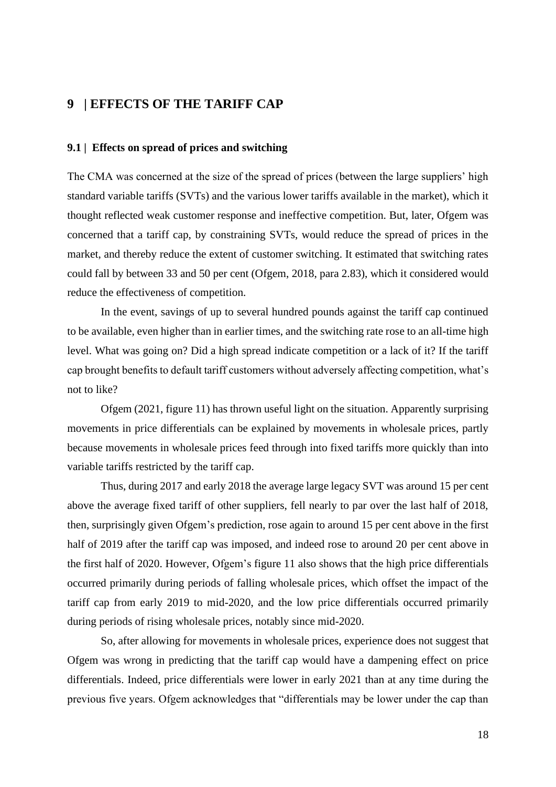## **9 | EFFECTS OF THE TARIFF CAP**

### **9.1 | Effects on spread of prices and switching**

The CMA was concerned at the size of the spread of prices (between the large suppliers' high standard variable tariffs (SVTs) and the various lower tariffs available in the market), which it thought reflected weak customer response and ineffective competition. But, later, Ofgem was concerned that a tariff cap, by constraining SVTs, would reduce the spread of prices in the market, and thereby reduce the extent of customer switching. It estimated that switching rates could fall by between 33 and 50 per cent (Ofgem, 2018, para 2.83), which it considered would reduce the effectiveness of competition.

In the event, savings of up to several hundred pounds against the tariff cap continued to be available, even higher than in earlier times, and the switching rate rose to an all-time high level. What was going on? Did a high spread indicate competition or a lack of it? If the tariff cap brought benefits to default tariff customers without adversely affecting competition, what's not to like?

Ofgem (2021, figure 11) has thrown useful light on the situation. Apparently surprising movements in price differentials can be explained by movements in wholesale prices, partly because movements in wholesale prices feed through into fixed tariffs more quickly than into variable tariffs restricted by the tariff cap.

Thus, during 2017 and early 2018 the average large legacy SVT was around 15 per cent above the average fixed tariff of other suppliers, fell nearly to par over the last half of 2018, then, surprisingly given Ofgem's prediction, rose again to around 15 per cent above in the first half of 2019 after the tariff cap was imposed, and indeed rose to around 20 per cent above in the first half of 2020. However, Ofgem's figure 11 also shows that the high price differentials occurred primarily during periods of falling wholesale prices, which offset the impact of the tariff cap from early 2019 to mid-2020, and the low price differentials occurred primarily during periods of rising wholesale prices, notably since mid-2020.

So, after allowing for movements in wholesale prices, experience does not suggest that Ofgem was wrong in predicting that the tariff cap would have a dampening effect on price differentials. Indeed, price differentials were lower in early 2021 than at any time during the previous five years. Ofgem acknowledges that "differentials may be lower under the cap than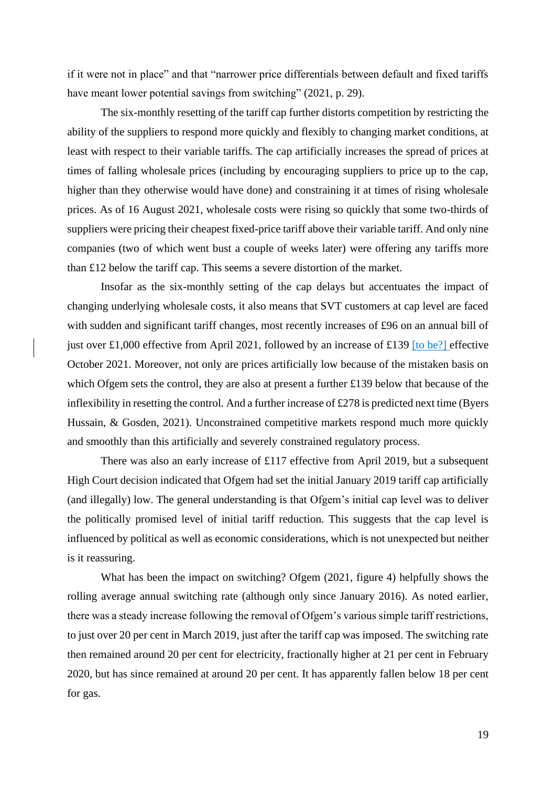if it were not in place" and that "narrower price differentials between default and fixed tariffs have meant lower potential savings from switching" (2021, p. 29).

The six-monthly resetting of the tariff cap further distorts competition by restricting the ability of the suppliers to respond more quickly and flexibly to changing market conditions, at least with respect to their variable tariffs. The cap artificially increases the spread of prices at times of falling wholesale prices (including by encouraging suppliers to price up to the cap, higher than they otherwise would have done) and constraining it at times of rising wholesale prices. As of 16 August 2021, wholesale costs were rising so quickly that some two-thirds of suppliers were pricing their cheapest fixed-price tariff above their variable tariff. And only nine companies (two of which went bust a couple of weeks later) were offering any tariffs more than £12 below the tariff cap. This seems a severe distortion of the market.

Insofar as the six-monthly setting of the cap delays but accentuates the impact of changing underlying wholesale costs, it also means that SVT customers at cap level are faced with sudden and significant tariff changes, most recently increases of £96 on an annual bill of just over £1,000 effective from April 2021, followed by an increase of £139 [to be?] effective October 2021. Moreover, not only are prices artificially low because of the mistaken basis on which Ofgem sets the control, they are also at present a further £139 below that because of the inflexibility in resetting the control. And a further increase of £278 is predicted next time (Byers Hussain, & Gosden, 2021). Unconstrained competitive markets respond much more quickly and smoothly than this artificially and severely constrained regulatory process.

There was also an early increase of £117 effective from April 2019, but a subsequent High Court decision indicated that Ofgem had set the initial January 2019 tariff cap artificially (and illegally) low. The general understanding is that Ofgem's initial cap level was to deliver the politically promised level of initial tariff reduction. This suggests that the cap level is influenced by political as well as economic considerations, which is not unexpected but neither is it reassuring.

What has been the impact on switching? Ofgem (2021, figure 4) helpfully shows the rolling average annual switching rate (although only since January 2016). As noted earlier, there was a steady increase following the removal of Ofgem's various simple tariff restrictions, to just over 20 per cent in March 2019, just after the tariff cap was imposed. The switching rate then remained around 20 per cent for electricity, fractionally higher at 21 per cent in February 2020, but has since remained at around 20 per cent. It has apparently fallen below 18 per cent for gas.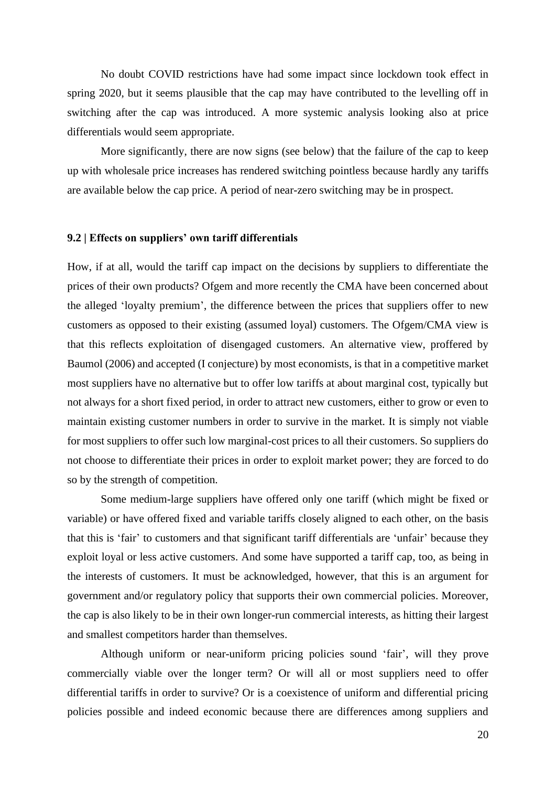No doubt COVID restrictions have had some impact since lockdown took effect in spring 2020, but it seems plausible that the cap may have contributed to the levelling off in switching after the cap was introduced. A more systemic analysis looking also at price differentials would seem appropriate.

More significantly, there are now signs (see below) that the failure of the cap to keep up with wholesale price increases has rendered switching pointless because hardly any tariffs are available below the cap price. A period of near-zero switching may be in prospect.

### **9.2 | Effects on suppliers' own tariff differentials**

How, if at all, would the tariff cap impact on the decisions by suppliers to differentiate the prices of their own products? Ofgem and more recently the CMA have been concerned about the alleged 'loyalty premium', the difference between the prices that suppliers offer to new customers as opposed to their existing (assumed loyal) customers. The Ofgem/CMA view is that this reflects exploitation of disengaged customers. An alternative view, proffered by Baumol (2006) and accepted (I conjecture) by most economists, is that in a competitive market most suppliers have no alternative but to offer low tariffs at about marginal cost, typically but not always for a short fixed period, in order to attract new customers, either to grow or even to maintain existing customer numbers in order to survive in the market. It is simply not viable for most suppliers to offer such low marginal-cost prices to all their customers. So suppliers do not choose to differentiate their prices in order to exploit market power; they are forced to do so by the strength of competition.

Some medium-large suppliers have offered only one tariff (which might be fixed or variable) or have offered fixed and variable tariffs closely aligned to each other, on the basis that this is 'fair' to customers and that significant tariff differentials are 'unfair' because they exploit loyal or less active customers. And some have supported a tariff cap, too, as being in the interests of customers. It must be acknowledged, however, that this is an argument for government and/or regulatory policy that supports their own commercial policies. Moreover, the cap is also likely to be in their own longer-run commercial interests, as hitting their largest and smallest competitors harder than themselves.

Although uniform or near-uniform pricing policies sound 'fair', will they prove commercially viable over the longer term? Or will all or most suppliers need to offer differential tariffs in order to survive? Or is a coexistence of uniform and differential pricing policies possible and indeed economic because there are differences among suppliers and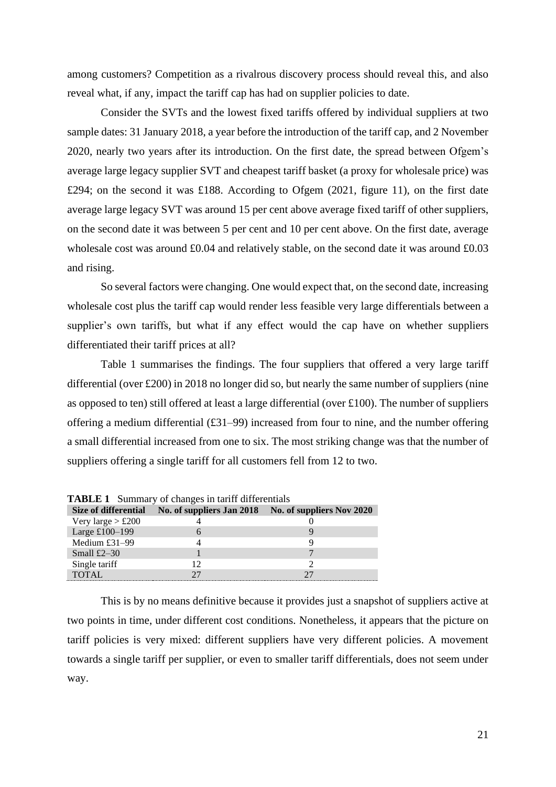among customers? Competition as a rivalrous discovery process should reveal this, and also reveal what, if any, impact the tariff cap has had on supplier policies to date.

Consider the SVTs and the lowest fixed tariffs offered by individual suppliers at two sample dates: 31 January 2018, a year before the introduction of the tariff cap, and 2 November 2020, nearly two years after its introduction. On the first date, the spread between Ofgem's average large legacy supplier SVT and cheapest tariff basket (a proxy for wholesale price) was £294; on the second it was £188. According to Ofgem (2021, figure 11), on the first date average large legacy SVT was around 15 per cent above average fixed tariff of other suppliers, on the second date it was between 5 per cent and 10 per cent above. On the first date, average wholesale cost was around £0.04 and relatively stable, on the second date it was around £0.03 and rising.

So several factors were changing. One would expect that, on the second date, increasing wholesale cost plus the tariff cap would render less feasible very large differentials between a supplier's own tariffs, but what if any effect would the cap have on whether suppliers differentiated their tariff prices at all?

Table 1 summarises the findings. The four suppliers that offered a very large tariff differential (over £200) in 2018 no longer did so, but nearly the same number of suppliers (nine as opposed to ten) still offered at least a large differential (over £100). The number of suppliers offering a medium differential (£31–99) increased from four to nine, and the number offering a small differential increased from one to six. The most striking change was that the number of suppliers offering a single tariff for all customers fell from 12 to two.

| <b>TABLE 1</b> Summary of changes in tariff differentials |  |                                                     |
|-----------------------------------------------------------|--|-----------------------------------------------------|
| Size of differential                                      |  | No. of suppliers Jan 2018 No. of suppliers Nov 2020 |
| Very large $> £200$                                       |  |                                                     |
| Large £100-199                                            |  |                                                     |
| Medium £31-99                                             |  |                                                     |
| Small $£2-30$                                             |  |                                                     |
| Single tariff                                             |  |                                                     |
| TOTAL                                                     |  |                                                     |

This is by no means definitive because it provides just a snapshot of suppliers active at two points in time, under different cost conditions. Nonetheless, it appears that the picture on tariff policies is very mixed: different suppliers have very different policies. A movement towards a single tariff per supplier, or even to smaller tariff differentials, does not seem under way.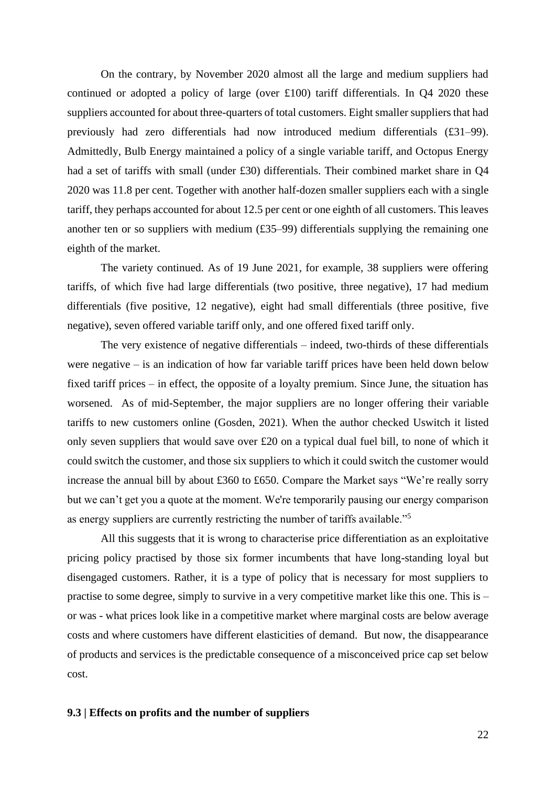On the contrary, by November 2020 almost all the large and medium suppliers had continued or adopted a policy of large (over £100) tariff differentials. In Q4 2020 these suppliers accounted for about three-quarters of total customers. Eight smaller suppliers that had previously had zero differentials had now introduced medium differentials (£31–99). Admittedly, Bulb Energy maintained a policy of a single variable tariff, and Octopus Energy had a set of tariffs with small (under £30) differentials. Their combined market share in Q4 2020 was 11.8 per cent. Together with another half-dozen smaller suppliers each with a single tariff, they perhaps accounted for about 12.5 per cent or one eighth of all customers. This leaves another ten or so suppliers with medium (£35–99) differentials supplying the remaining one eighth of the market.

The variety continued. As of 19 June 2021, for example, 38 suppliers were offering tariffs, of which five had large differentials (two positive, three negative), 17 had medium differentials (five positive, 12 negative), eight had small differentials (three positive, five negative), seven offered variable tariff only, and one offered fixed tariff only.

The very existence of negative differentials – indeed, two-thirds of these differentials were negative – is an indication of how far variable tariff prices have been held down below fixed tariff prices – in effect, the opposite of a loyalty premium. Since June, the situation has worsened. As of mid-September, the major suppliers are no longer offering their variable tariffs to new customers online (Gosden, 2021). When the author checked Uswitch it listed only seven suppliers that would save over £20 on a typical dual fuel bill, to none of which it could switch the customer, and those six suppliers to which it could switch the customer would increase the annual bill by about £360 to £650. Compare the Market says "We're really sorry but we can't get you a quote at the moment. We're temporarily pausing our energy comparison as energy suppliers are currently restricting the number of tariffs available."<sup>5</sup>

All this suggests that it is wrong to characterise price differentiation as an exploitative pricing policy practised by those six former incumbents that have long-standing loyal but disengaged customers. Rather, it is a type of policy that is necessary for most suppliers to practise to some degree, simply to survive in a very competitive market like this one. This is – or was - what prices look like in a competitive market where marginal costs are below average costs and where customers have different elasticities of demand. But now, the disappearance of products and services is the predictable consequence of a misconceived price cap set below cost.

### **9.3 | Effects on profits and the number of suppliers**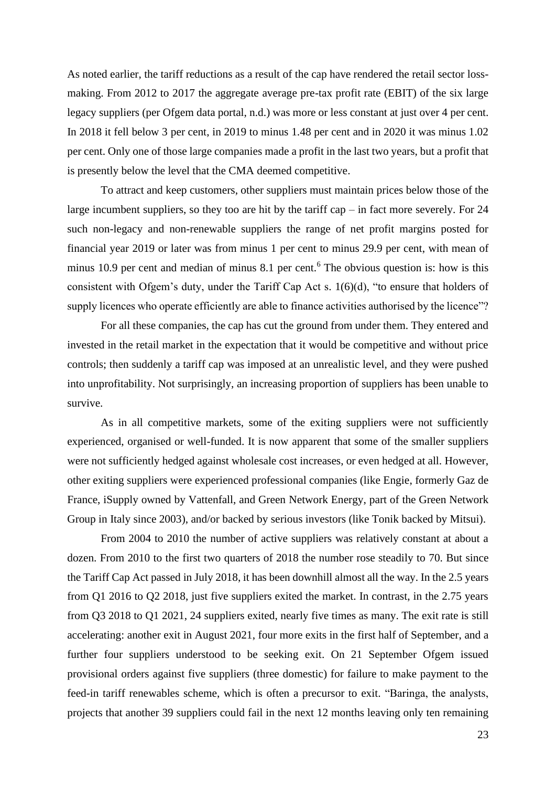As noted earlier, the tariff reductions as a result of the cap have rendered the retail sector lossmaking. From 2012 to 2017 the aggregate average pre-tax profit rate (EBIT) of the six large legacy suppliers (per Ofgem data portal, n.d.) was more or less constant at just over 4 per cent. In 2018 it fell below 3 per cent, in 2019 to minus 1.48 per cent and in 2020 it was minus 1.02 per cent. Only one of those large companies made a profit in the last two years, but a profit that is presently below the level that the CMA deemed competitive.

To attract and keep customers, other suppliers must maintain prices below those of the large incumbent suppliers, so they too are hit by the tariff cap – in fact more severely. For 24 such non-legacy and non-renewable suppliers the range of net profit margins posted for financial year 2019 or later was from minus 1 per cent to minus 29.9 per cent, with mean of minus 10.9 per cent and median of minus 8.1 per cent.<sup>6</sup> The obvious question is: how is this consistent with Ofgem's duty, under the Tariff Cap Act s. 1(6)(d), "to ensure that holders of supply licences who operate efficiently are able to finance activities authorised by the licence"?

For all these companies, the cap has cut the ground from under them. They entered and invested in the retail market in the expectation that it would be competitive and without price controls; then suddenly a tariff cap was imposed at an unrealistic level, and they were pushed into unprofitability. Not surprisingly, an increasing proportion of suppliers has been unable to survive.

As in all competitive markets, some of the exiting suppliers were not sufficiently experienced, organised or well-funded. It is now apparent that some of the smaller suppliers were not sufficiently hedged against wholesale cost increases, or even hedged at all. However, other exiting suppliers were experienced professional companies (like Engie, formerly Gaz de France, iSupply owned by Vattenfall, and Green Network Energy, part of the Green Network Group in Italy since 2003), and/or backed by serious investors (like Tonik backed by Mitsui).

From 2004 to 2010 the number of active suppliers was relatively constant at about a dozen. From 2010 to the first two quarters of 2018 the number rose steadily to 70. But since the Tariff Cap Act passed in July 2018, it has been downhill almost all the way. In the 2.5 years from Q1 2016 to Q2 2018, just five suppliers exited the market. In contrast, in the 2.75 years from Q3 2018 to Q1 2021, 24 suppliers exited, nearly five times as many. The exit rate is still accelerating: another exit in August 2021, four more exits in the first half of September, and a further four suppliers understood to be seeking exit. On 21 September Ofgem issued provisional orders against five suppliers (three domestic) for failure to make payment to the feed-in tariff renewables scheme, which is often a precursor to exit. "Baringa, the analysts, projects that another 39 suppliers could fail in the next 12 months leaving only ten remaining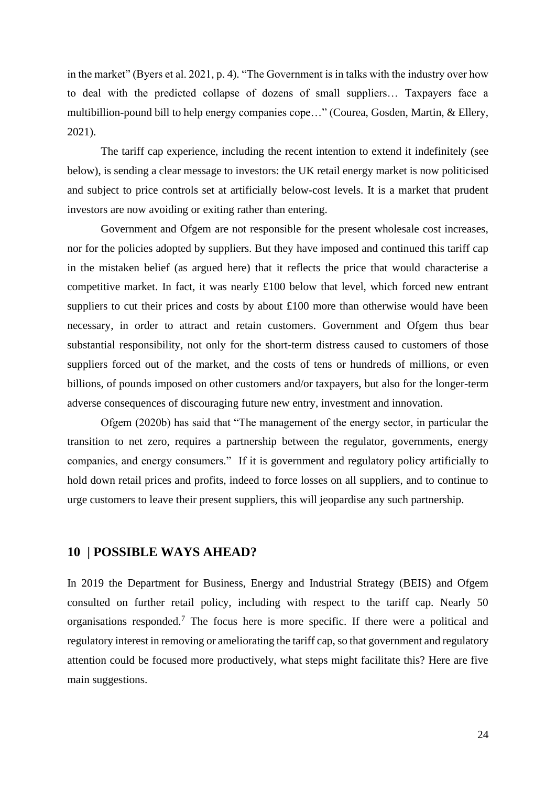in the market" (Byers et al. 2021, p. 4). "The Government is in talks with the industry over how to deal with the predicted collapse of dozens of small suppliers… Taxpayers face a multibillion-pound bill to help energy companies cope…" (Courea, Gosden, Martin, & Ellery, 2021).

The tariff cap experience, including the recent intention to extend it indefinitely (see below), is sending a clear message to investors: the UK retail energy market is now politicised and subject to price controls set at artificially below-cost levels. It is a market that prudent investors are now avoiding or exiting rather than entering.

Government and Ofgem are not responsible for the present wholesale cost increases, nor for the policies adopted by suppliers. But they have imposed and continued this tariff cap in the mistaken belief (as argued here) that it reflects the price that would characterise a competitive market. In fact, it was nearly £100 below that level, which forced new entrant suppliers to cut their prices and costs by about £100 more than otherwise would have been necessary, in order to attract and retain customers. Government and Ofgem thus bear substantial responsibility, not only for the short-term distress caused to customers of those suppliers forced out of the market, and the costs of tens or hundreds of millions, or even billions, of pounds imposed on other customers and/or taxpayers, but also for the longer-term adverse consequences of discouraging future new entry, investment and innovation.

Ofgem (2020b) has said that "The management of the energy sector, in particular the transition to net zero, requires a partnership between the regulator, governments, energy companies, and energy consumers." If it is government and regulatory policy artificially to hold down retail prices and profits, indeed to force losses on all suppliers, and to continue to urge customers to leave their present suppliers, this will jeopardise any such partnership.

## **10 | POSSIBLE WAYS AHEAD?**

In 2019 the Department for Business, Energy and Industrial Strategy (BEIS) and Ofgem consulted on further retail policy, including with respect to the tariff cap. Nearly 50 organisations responded.<sup>7</sup> The focus here is more specific. If there were a political and regulatory interest in removing or ameliorating the tariff cap, so that government and regulatory attention could be focused more productively, what steps might facilitate this? Here are five main suggestions.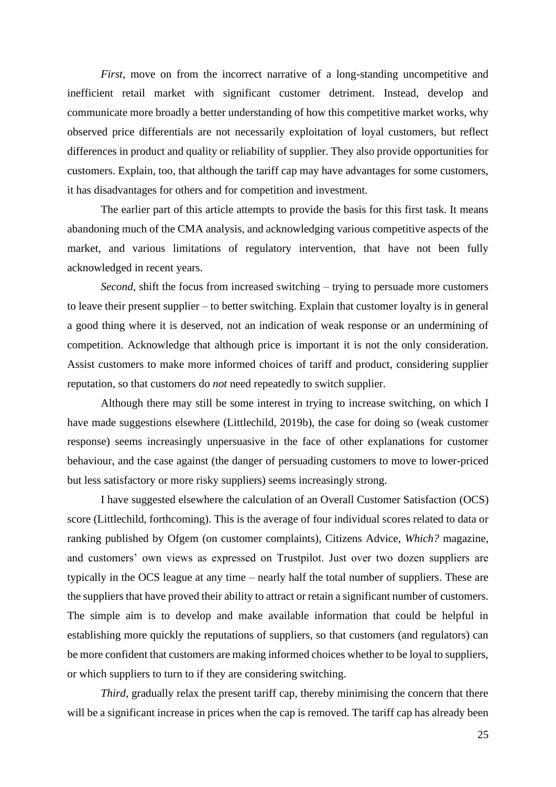*First*, move on from the incorrect narrative of a long-standing uncompetitive and inefficient retail market with significant customer detriment. Instead, develop and communicate more broadly a better understanding of how this competitive market works, why observed price differentials are not necessarily exploitation of loyal customers, but reflect differences in product and quality or reliability of supplier. They also provide opportunities for customers. Explain, too, that although the tariff cap may have advantages for some customers, it has disadvantages for others and for competition and investment.

The earlier part of this article attempts to provide the basis for this first task. It means abandoning much of the CMA analysis, and acknowledging various competitive aspects of the market, and various limitations of regulatory intervention, that have not been fully acknowledged in recent years.

*Second*, shift the focus from increased switching – trying to persuade more customers to leave their present supplier – to better switching. Explain that customer loyalty is in general a good thing where it is deserved, not an indication of weak response or an undermining of competition. Acknowledge that although price is important it is not the only consideration. Assist customers to make more informed choices of tariff and product, considering supplier reputation, so that customers do *not* need repeatedly to switch supplier.

Although there may still be some interest in trying to increase switching, on which I have made suggestions elsewhere (Littlechild, 2019b), the case for doing so (weak customer response) seems increasingly unpersuasive in the face of other explanations for customer behaviour, and the case against (the danger of persuading customers to move to lower-priced but less satisfactory or more risky suppliers) seems increasingly strong.

I have suggested elsewhere the calculation of an Overall Customer Satisfaction (OCS) score (Littlechild, forthcoming). This is the average of four individual scores related to data or ranking published by Ofgem (on customer complaints), Citizens Advice, *Which?* magazine, and customers' own views as expressed on Trustpilot. Just over two dozen suppliers are typically in the OCS league at any time – nearly half the total number of suppliers. These are the suppliers that have proved their ability to attract or retain a significant number of customers. The simple aim is to develop and make available information that could be helpful in establishing more quickly the reputations of suppliers, so that customers (and regulators) can be more confident that customers are making informed choices whether to be loyal to suppliers, or which suppliers to turn to if they are considering switching.

*Third*, gradually relax the present tariff cap, thereby minimising the concern that there will be a significant increase in prices when the cap is removed. The tariff cap has already been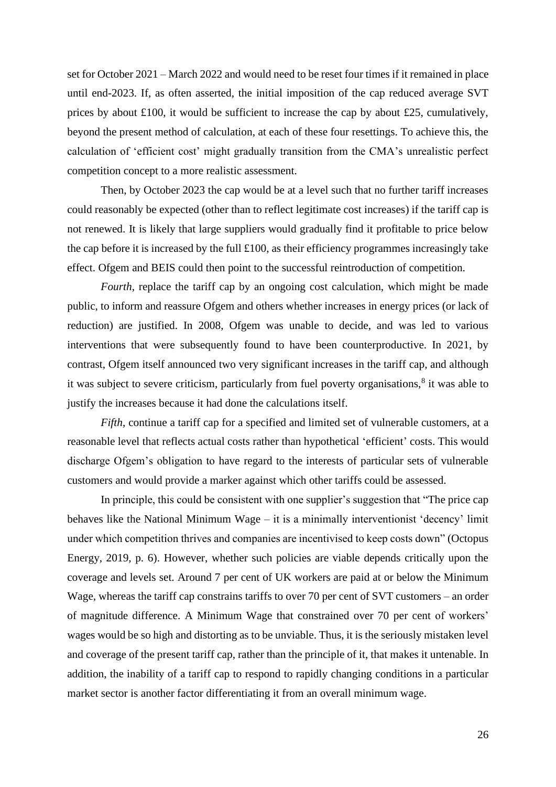set for October 2021 – March 2022 and would need to be reset four times if it remained in place until end-2023. If, as often asserted, the initial imposition of the cap reduced average SVT prices by about £100, it would be sufficient to increase the cap by about £25, cumulatively, beyond the present method of calculation, at each of these four resettings. To achieve this, the calculation of 'efficient cost' might gradually transition from the CMA's unrealistic perfect competition concept to a more realistic assessment.

Then, by October 2023 the cap would be at a level such that no further tariff increases could reasonably be expected (other than to reflect legitimate cost increases) if the tariff cap is not renewed. It is likely that large suppliers would gradually find it profitable to price below the cap before it is increased by the full  $\pounds$ 100, as their efficiency programmes increasingly take effect. Ofgem and BEIS could then point to the successful reintroduction of competition.

*Fourth*, replace the tariff cap by an ongoing cost calculation, which might be made public, to inform and reassure Ofgem and others whether increases in energy prices (or lack of reduction) are justified. In 2008, Ofgem was unable to decide, and was led to various interventions that were subsequently found to have been counterproductive. In 2021, by contrast, Ofgem itself announced two very significant increases in the tariff cap, and although it was subject to severe criticism, particularly from fuel poverty organisations,<sup>8</sup> it was able to justify the increases because it had done the calculations itself.

*Fifth*, continue a tariff cap for a specified and limited set of vulnerable customers, at a reasonable level that reflects actual costs rather than hypothetical 'efficient' costs. This would discharge Ofgem's obligation to have regard to the interests of particular sets of vulnerable customers and would provide a marker against which other tariffs could be assessed.

In principle, this could be consistent with one supplier's suggestion that "The price cap behaves like the National Minimum Wage – it is a minimally interventionist 'decency' limit under which competition thrives and companies are incentivised to keep costs down" (Octopus Energy, 2019, p. 6). However, whether such policies are viable depends critically upon the coverage and levels set. Around 7 per cent of UK workers are paid at or below the Minimum Wage, whereas the tariff cap constrains tariffs to over 70 per cent of SVT customers – an order of magnitude difference. A Minimum Wage that constrained over 70 per cent of workers' wages would be so high and distorting as to be unviable. Thus, it is the seriously mistaken level and coverage of the present tariff cap, rather than the principle of it, that makes it untenable. In addition, the inability of a tariff cap to respond to rapidly changing conditions in a particular market sector is another factor differentiating it from an overall minimum wage.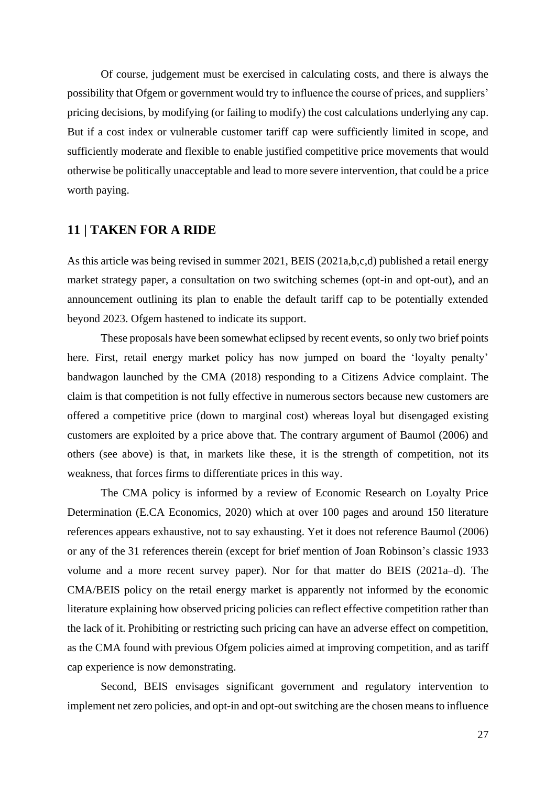Of course, judgement must be exercised in calculating costs, and there is always the possibility that Ofgem or government would try to influence the course of prices, and suppliers' pricing decisions, by modifying (or failing to modify) the cost calculations underlying any cap. But if a cost index or vulnerable customer tariff cap were sufficiently limited in scope, and sufficiently moderate and flexible to enable justified competitive price movements that would otherwise be politically unacceptable and lead to more severe intervention, that could be a price worth paying.

## **11 | TAKEN FOR A RIDE**

As this article was being revised in summer 2021, BEIS (2021a,b,c,d) published a retail energy market strategy paper, a consultation on two switching schemes (opt-in and opt-out), and an announcement outlining its plan to enable the default tariff cap to be potentially extended beyond 2023. Ofgem hastened to indicate its support.

These proposals have been somewhat eclipsed by recent events, so only two brief points here. First, retail energy market policy has now jumped on board the 'loyalty penalty' bandwagon launched by the CMA (2018) responding to a Citizens Advice complaint. The claim is that competition is not fully effective in numerous sectors because new customers are offered a competitive price (down to marginal cost) whereas loyal but disengaged existing customers are exploited by a price above that. The contrary argument of Baumol (2006) and others (see above) is that, in markets like these, it is the strength of competition, not its weakness, that forces firms to differentiate prices in this way.

The CMA policy is informed by a review of Economic Research on Loyalty Price Determination (E.CA Economics, 2020) which at over 100 pages and around 150 literature references appears exhaustive, not to say exhausting. Yet it does not reference Baumol (2006) or any of the 31 references therein (except for brief mention of Joan Robinson's classic 1933 volume and a more recent survey paper). Nor for that matter do BEIS (2021a–d). The CMA/BEIS policy on the retail energy market is apparently not informed by the economic literature explaining how observed pricing policies can reflect effective competition rather than the lack of it. Prohibiting or restricting such pricing can have an adverse effect on competition, as the CMA found with previous Ofgem policies aimed at improving competition, and as tariff cap experience is now demonstrating.

Second, BEIS envisages significant government and regulatory intervention to implement net zero policies, and opt-in and opt-out switching are the chosen means to influence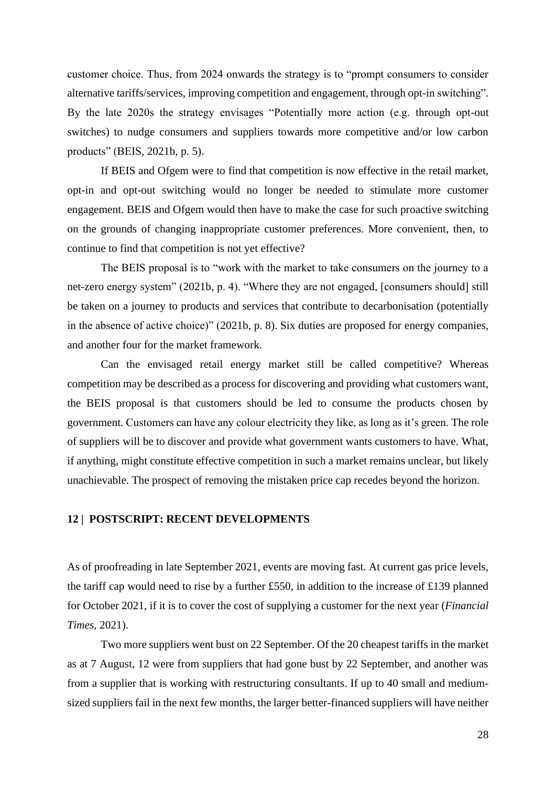customer choice. Thus, from 2024 onwards the strategy is to "prompt consumers to consider alternative tariffs/services, improving competition and engagement, through opt-in switching". By the late 2020s the strategy envisages "Potentially more action (e.g. through opt-out switches) to nudge consumers and suppliers towards more competitive and/or low carbon products" (BEIS, 2021b, p. 5).

If BEIS and Ofgem were to find that competition is now effective in the retail market, opt-in and opt-out switching would no longer be needed to stimulate more customer engagement. BEIS and Ofgem would then have to make the case for such proactive switching on the grounds of changing inappropriate customer preferences. More convenient, then, to continue to find that competition is not yet effective?

The BEIS proposal is to "work with the market to take consumers on the journey to a net-zero energy system" (2021b, p. 4). "Where they are not engaged, [consumers should] still be taken on a journey to products and services that contribute to decarbonisation (potentially in the absence of active choice)" (2021b, p. 8). Six duties are proposed for energy companies, and another four for the market framework.

Can the envisaged retail energy market still be called competitive? Whereas competition may be described as a process for discovering and providing what customers want, the BEIS proposal is that customers should be led to consume the products chosen by government. Customers can have any colour electricity they like, as long as it's green. The role of suppliers will be to discover and provide what government wants customers to have. What, if anything, might constitute effective competition in such a market remains unclear, but likely unachievable. The prospect of removing the mistaken price cap recedes beyond the horizon.

### **12 | POSTSCRIPT: RECENT DEVELOPMENTS**

As of proofreading in late September 2021, events are moving fast. At current gas price levels, the tariff cap would need to rise by a further £550, in addition to the increase of £139 planned for October 2021, if it is to cover the cost of supplying a customer for the next year (*Financial Times*, 2021).

Two more suppliers went bust on 22 September. Of the 20 cheapest tariffs in the market as at 7 August, 12 were from suppliers that had gone bust by 22 September, and another was from a supplier that is working with restructuring consultants. If up to 40 small and mediumsized suppliers fail in the next few months, the larger better-financed suppliers will have neither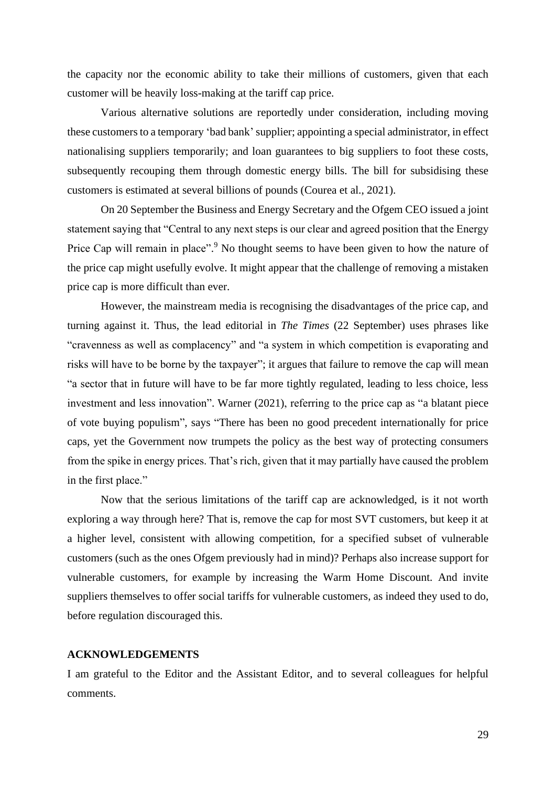the capacity nor the economic ability to take their millions of customers, given that each customer will be heavily loss-making at the tariff cap price.

Various alternative solutions are reportedly under consideration, including moving these customers to a temporary 'bad bank'supplier; appointing a special administrator, in effect nationalising suppliers temporarily; and loan guarantees to big suppliers to foot these costs, subsequently recouping them through domestic energy bills. The bill for subsidising these customers is estimated at several billions of pounds (Courea et al., 2021).

On 20 September the Business and Energy Secretary and the Ofgem CEO issued a joint statement saying that "Central to any next steps is our clear and agreed position that the Energy Price Cap will remain in place".<sup>9</sup> No thought seems to have been given to how the nature of the price cap might usefully evolve. It might appear that the challenge of removing a mistaken price cap is more difficult than ever.

However, the mainstream media is recognising the disadvantages of the price cap, and turning against it. Thus, the lead editorial in *The Times* (22 September) uses phrases like "cravenness as well as complacency" and "a system in which competition is evaporating and risks will have to be borne by the taxpayer"; it argues that failure to remove the cap will mean "a sector that in future will have to be far more tightly regulated, leading to less choice, less investment and less innovation". Warner (2021), referring to the price cap as "a blatant piece of vote buying populism", says "There has been no good precedent internationally for price caps, yet the Government now trumpets the policy as the best way of protecting consumers from the spike in energy prices. That's rich, given that it may partially have caused the problem in the first place."

Now that the serious limitations of the tariff cap are acknowledged, is it not worth exploring a way through here? That is, remove the cap for most SVT customers, but keep it at a higher level, consistent with allowing competition, for a specified subset of vulnerable customers (such as the ones Ofgem previously had in mind)? Perhaps also increase support for vulnerable customers, for example by increasing the Warm Home Discount. And invite suppliers themselves to offer social tariffs for vulnerable customers, as indeed they used to do, before regulation discouraged this.

### **ACKNOWLEDGEMENTS**

I am grateful to the Editor and the Assistant Editor, and to several colleagues for helpful comments.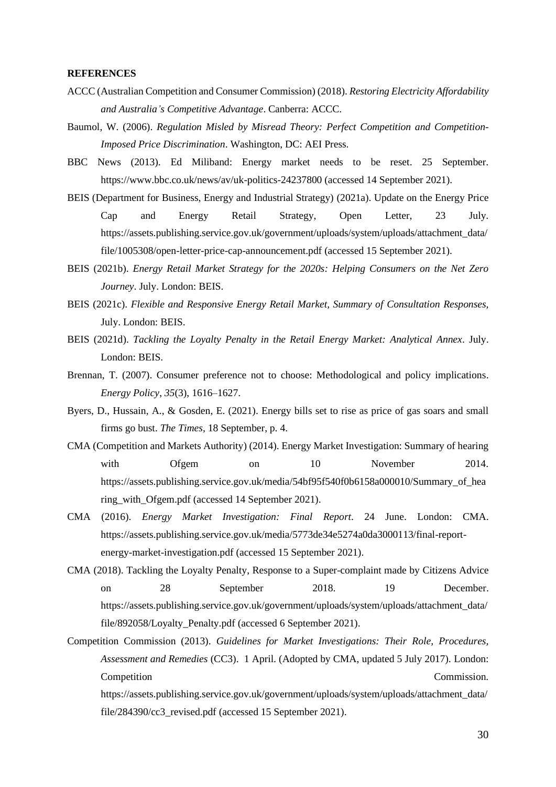#### **REFERENCES**

- ACCC (Australian Competition and Consumer Commission) (2018). *Restoring Electricity Affordability and Australia's Competitive Advantage*. Canberra: ACCC.
- Baumol, W. (2006). *Regulation Misled by Misread Theory: Perfect Competition and Competition-Imposed Price Discrimination*. Washington, DC: AEI Press.
- BBC News (2013). Ed Miliband: Energy market needs to be reset. 25 September. <https://www.bbc.co.uk/news/av/uk-politics-24237800> (accessed 14 September 2021).
- BEIS (Department for Business, Energy and Industrial Strategy) (2021a). Update on the Energy Price Cap and Energy Retail Strategy, Open Letter, 23 July. [https://assets.publishing.service.gov.uk/government/uploads/system/uploads/attachment\\_data/](https://assets.publishing.service.gov.uk/government/uploads/system/uploads/attachment_data/file/1005308/open-letter-price-cap-announcement.pdf) [file/1005308/open-letter-price-cap-announcement.pdf](https://assets.publishing.service.gov.uk/government/uploads/system/uploads/attachment_data/file/1005308/open-letter-price-cap-announcement.pdf) (accessed 15 September 2021).
- BEIS (2021b). *Energy Retail Market Strategy for the 2020s: Helping Consumers on the Net Zero Journey*. July. London: BEIS.
- BEIS (2021c). *Flexible and Responsive Energy Retail Market, Summary of Consultation Responses,* July. London: BEIS.
- BEIS (2021d). *Tackling the Loyalty Penalty in the Retail Energy Market: Analytical Annex*. July. London: BEIS.
- Brennan, T. (2007). Consumer preference not to choose: Methodological and policy implications. *Energy Policy*, *35*(3), 1616–1627.
- Byers, D., Hussain, A., & Gosden, E. (2021). Energy bills set to rise as price of gas soars and small firms go bust. *The Times*, 18 September, p. 4.
- CMA (Competition and Markets Authority) (2014). Energy Market Investigation: Summary of hearing with Ofgem on 10 November 2014. [https://assets.publishing.service.gov.uk/media/54bf95f540f0b6158a000010/Summary\\_of\\_hea](https://assets.publishing.service.gov.uk/media/54bf95f540f0b6158a000010/Summary_of_hearing_with_Ofgem.pdf) ring with Ofgem.pdf (accessed 14 September 2021).
- CMA (2016). *Energy Market Investigation: Final Report*. 24 June. London: CMA. [https://assets.publishing.service.gov.uk/media/5773de34e5274a0da3000113/final-report](https://assets.publishing.service.gov.uk/media/5773de34e5274a0da3000113/final-report-energy-market-investigation.pdf)[energy-market-investigation.pdf](https://assets.publishing.service.gov.uk/media/5773de34e5274a0da3000113/final-report-energy-market-investigation.pdf) (accessed 15 September 2021).
- CMA (2018). Tackling the Loyalty Penalty, Response to a Super-complaint made by Citizens Advice on 28 September 2018. 19 December. [https://assets.publishing.service.gov.uk/government/uploads/system/uploads/attachment\\_data/](https://assets.publishing.service.gov.uk/government/uploads/system/uploads/attachment_data/file/892058/Loyalty_Penalty.pdf) file/892058/Loyalty Penalty.pdf (accessed 6 September 2021).
- Competition Commission (2013). *Guidelines for Market Investigations: Their Role, Procedures, Assessment and Remedies* (CC3). 1 April. (Adopted by CMA, updated 5 July 2017). London: Competition Commission.

[https://assets.publishing.service.gov.uk/government/uploads/system/uploads/attachment\\_data/](https://assets.publishing.service.gov.uk/government/uploads/system/uploads/attachment_data/file/284390/cc3_revised.pdf) file/284390/cc3 revised.pdf (accessed 15 September 2021).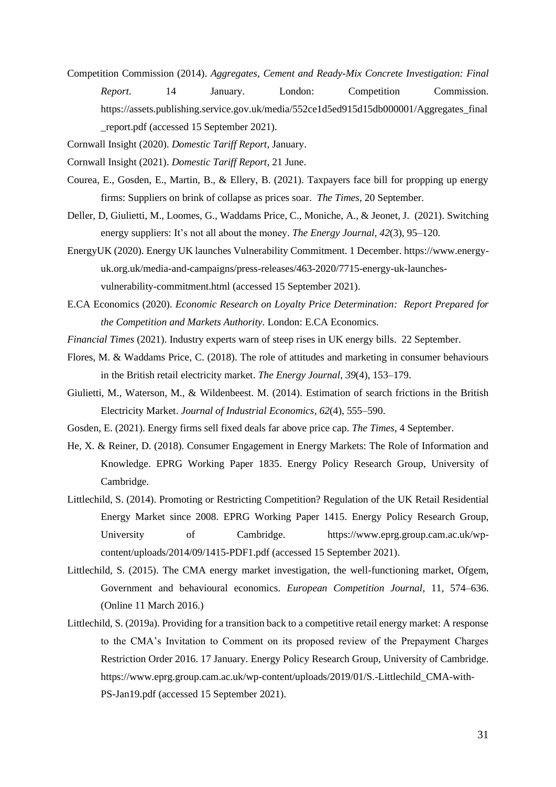- Competition Commission (2014). *Aggregates, Cement and Ready-Mix Concrete Investigation: Final Report*. 14 January. London: Competition Commission. https://assets.publishing.service.gov.uk/media/552ce1d5ed915d15db000001/Aggregates final [\\_report.pdf](https://assets.publishing.service.gov.uk/media/552ce1d5ed915d15db000001/Aggregates_final_report.pdf) (accessed 15 September 2021).
- Cornwall Insight (2020). *Domestic Tariff Report*, January.
- Cornwall Insight (2021). *Domestic Tariff Report*, 21 June.
- Courea, E., Gosden, E., Martin, B., & Ellery, B. (2021). Taxpayers face bill for propping up energy firms: Suppliers on brink of collapse as prices soar. *The Times*, 20 September.
- Deller, D, Giulietti, M., Loomes, G., Waddams Price, C., Moniche, A., & Jeonet, J. (2021). Switching energy suppliers: It's not all about the money. *The Energy Journal*, *42*(3), 95–120.
- EnergyUK (2020). Energy UK launches Vulnerability Commitment. 1 December[. https://www.energy](https://www.energy-uk.org.uk/media-and-campaigns/press-releases/463-2020/7715-energy-uk-launches-vulnerability-commitment.html)[uk.org.uk/media-and-campaigns/press-releases/463-2020/7715-energy-uk-launches](https://www.energy-uk.org.uk/media-and-campaigns/press-releases/463-2020/7715-energy-uk-launches-vulnerability-commitment.html)[vulnerability-commitment.html](https://www.energy-uk.org.uk/media-and-campaigns/press-releases/463-2020/7715-energy-uk-launches-vulnerability-commitment.html) (accessed 15 September 2021).
- E.CA Economics (2020). *Economic Research on Loyalty Price Determination: Report Prepared for the Competition and Markets Authority.* London: E.CA Economics.
- *Financial Times* (2021). Industry experts warn of steep rises in UK energy bills. 22 September.
- Flores, M. & Waddams Price, C. (2018). The role of attitudes and marketing in consumer behaviours in the British retail electricity market. *The Energy Journal*, *39*(4), 153–179.
- Giulietti, M., Waterson, M., & Wildenbeest. M. (2014). Estimation of search frictions in the British Electricity Market. *Journal of Industrial Economics*, *62*(4), 555–590.
- Gosden, E. (2021). Energy firms sell fixed deals far above price cap. *The Times*, 4 September.
- He, X. & Reiner, D. (2018). Consumer Engagement in Energy Markets: The Role of Information and Knowledge. EPRG Working Paper 1835. Energy Policy Research Group, University of Cambridge.
- Littlechild, S. (2014). Promoting or Restricting Competition? Regulation of the UK Retail Residential Energy Market since 2008. EPRG Working Paper 1415. Energy Policy Research Group, University of Cambridge. [https://www.eprg.group.cam.ac.uk/wp](https://www.eprg.group.cam.ac.uk/wp-content/uploads/2014/09/1415-PDF1.pdf)[content/uploads/2014/09/1415-PDF1.pdf](https://www.eprg.group.cam.ac.uk/wp-content/uploads/2014/09/1415-PDF1.pdf) (accessed 15 September 2021).
- Littlechild, S. (2015). The CMA energy market investigation, the well-functioning market, Ofgem, Government and behavioural economics. *European Competition Journal*, 11, 574–636. (Online 11 March 2016.)
- Littlechild, S. (2019a). Providing for a transition back to a competitive retail energy market: A response to the CMA's Invitation to Comment on its proposed review of the Prepayment Charges Restriction Order 2016. 17 January. Energy Policy Research Group, University of Cambridge. [https://www.eprg.group.cam.ac.uk/wp-content/uploads/2019/01/S.-Littlechild\\_CMA-with-](https://www.eprg.group.cam.ac.uk/wp-content/uploads/2019/01/S.-Littlechild_CMA-with-PS-Jan19.pdf)[PS-Jan19.pdf](https://www.eprg.group.cam.ac.uk/wp-content/uploads/2019/01/S.-Littlechild_CMA-with-PS-Jan19.pdf) (accessed 15 September 2021).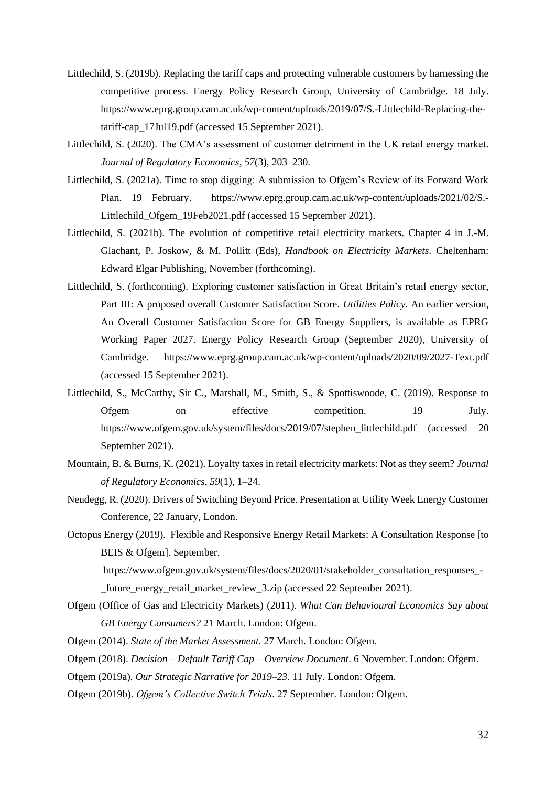- Littlechild, S. (2019b). Replacing the tariff caps and protecting vulnerable customers by harnessing the competitive process. Energy Policy Research Group, University of Cambridge. 18 July. [https://www.eprg.group.cam.ac.uk/wp-content/uploads/2019/07/S.-Littlechild-Replacing-the](https://www.eprg.group.cam.ac.uk/wp-content/uploads/2019/07/S.-Littlechild-Replacing-the-tariff-cap_17Jul19.pdf)[tariff-cap\\_17Jul19.pdf](https://www.eprg.group.cam.ac.uk/wp-content/uploads/2019/07/S.-Littlechild-Replacing-the-tariff-cap_17Jul19.pdf) (accessed 15 September 2021).
- Littlechild, S. (2020). The CMA's assessment of customer detriment in the UK retail energy market. *Journal of Regulatory Economics*, *57*(3), 203–230.
- Littlechild, S. (2021a). Time to stop digging: A submission to Ofgem's Review of its Forward Work Plan. 19 February. [https://www.eprg.group.cam.ac.uk/wp-content/uploads/2021/02/S.-](https://www.eprg.group.cam.ac.uk/wp-content/uploads/2021/02/S.-Littlechild_Ofgem_19Feb2021.pdf) [Littlechild\\_Ofgem\\_19Feb2021.pdf](https://www.eprg.group.cam.ac.uk/wp-content/uploads/2021/02/S.-Littlechild_Ofgem_19Feb2021.pdf) (accessed 15 September 2021).
- Littlechild, S. (2021b). The evolution of competitive retail electricity markets. Chapter 4 in J.-M. Glachant, P. Joskow, & M. Pollitt (Eds), *Handbook on Electricity Markets.* Cheltenham: Edward Elgar Publishing, November (forthcoming).
- Littlechild, S. (forthcoming). Exploring customer satisfaction in Great Britain's retail energy sector, Part III: A proposed overall Customer Satisfaction Score. *Utilities Policy*. An earlier version, An Overall Customer Satisfaction Score for GB Energy Suppliers, is available as EPRG Working Paper 2027. Energy Policy Research Group (September 2020), University of Cambridge. <https://www.eprg.group.cam.ac.uk/wp-content/uploads/2020/09/2027-Text.pdf> (accessed 15 September 2021).
- Littlechild, S., McCarthy, Sir C., Marshall, M., Smith, S., & Spottiswoode, C. (2019). Response to Ofgem on effective competition. 19 July. [https://www.ofgem.gov.uk/system/files/docs/2019/07/stephen\\_littlechild.pdf](https://www.ofgem.gov.uk/system/files/docs/2019/07/stephen_littlechild.pdf) (accessed 20 September 2021).
- Mountain, B. & Burns, K. (2021). Loyalty taxes in retail electricity markets: Not as they seem? *Journal of Regulatory Economics*, *59*(1), 1–24.
- Neudegg, R. (2020). Drivers of Switching Beyond Price. Presentation at Utility Week Energy Customer Conference, 22 January, London.
- Octopus Energy (2019). Flexible and Responsive Energy Retail Markets: A Consultation Response [to BEIS & Ofgem]. September.

[https://www.ofgem.gov.uk/system/files/docs/2020/01/stakeholder\\_consultation\\_responses\\_-](https://www.ofgem.gov.uk/system/files/docs/2020/01/stakeholder_consultation_responses_-_future_energy_retail_market_review_3.zip)

future energy retail market review 3.zip (accessed 22 September 2021).

- Ofgem (Office of Gas and Electricity Markets) (2011). *What Can Behavioural Economics Say about GB Energy Consumers?* 21 March. London: Ofgem.
- Ofgem (2014). *State of the Market Assessment*. 27 March. London: Ofgem.
- Ofgem (2018). *Decision – Default Tariff Cap – Overview Document*. 6 November. London: Ofgem.
- Ofgem (2019a). *Our Strategic Narrative for 2019–23*. 11 July. London: Ofgem.
- Ofgem (2019b). *Ofgem's Collective Switch Trials*. 27 September. London: Ofgem.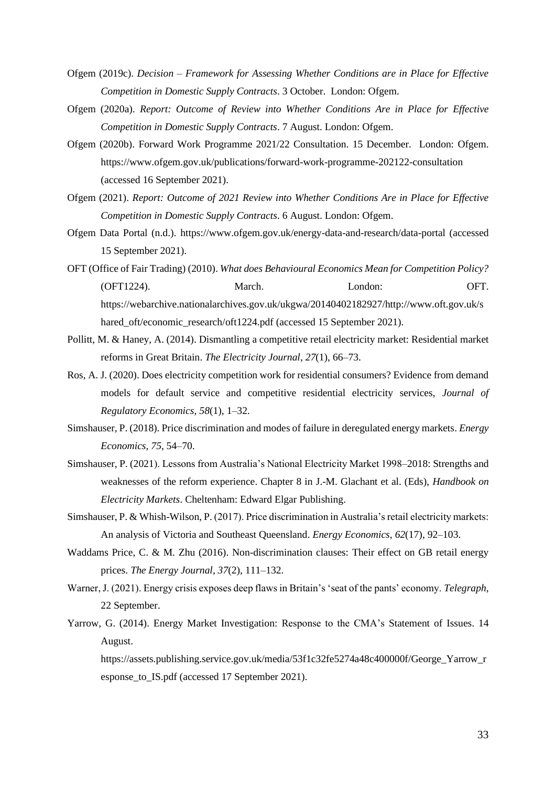- Ofgem (2019c). *Decision – Framework for Assessing Whether Conditions are in Place for Effective Competition in Domestic Supply Contracts*. 3 October. London: Ofgem.
- Ofgem (2020a). *Report: Outcome of Review into Whether Conditions Are in Place for Effective Competition in Domestic Supply Contracts*. 7 August. London: Ofgem.
- Ofgem (2020b). Forward Work Programme 2021/22 Consultation. 15 December. London: Ofgem. <https://www.ofgem.gov.uk/publications/forward-work-programme-202122-consultation> (accessed 16 September 2021).
- Ofgem (2021). *Report: Outcome of 2021 Review into Whether Conditions Are in Place for Effective Competition in Domestic Supply Contracts*. 6 August. London: Ofgem.
- Ofgem Data Portal (n.d.).<https://www.ofgem.gov.uk/energy-data-and-research/data-portal> (accessed 15 September 2021).
- OFT (Office of Fair Trading) (2010). *What does Behavioural Economics Mean for Competition Policy?* (OFT1224). March. London: OFT. [https://webarchive.nationalarchives.gov.uk/ukgwa/20140402182927/http://www.oft.gov.uk/s](https://webarchive.nationalarchives.gov.uk/ukgwa/20140402182927/http:/www.oft.gov.uk/shared_oft/economic_research/oft1224.pdf) [hared\\_oft/economic\\_research/oft1224.pdf](https://webarchive.nationalarchives.gov.uk/ukgwa/20140402182927/http:/www.oft.gov.uk/shared_oft/economic_research/oft1224.pdf) (accessed 15 September 2021).
- Pollitt, M. & Haney, A. (2014). Dismantling a competitive retail electricity market: Residential market reforms in Great Britain. *The Electricity Journal*, *27*(1), 66–73.
- Ros, A. J. (2020). Does electricity competition work for residential consumers? Evidence from demand models for default service and competitive residential electricity services, *Journal of Regulatory Economics*, *58*(1), 1–32.
- Simshauser, P. (2018). Price discrimination and modes of failure in deregulated energy markets. *Energy Economics*, *75*, 54–70.
- Simshauser, P. (2021). Lessons from Australia's National Electricity Market 1998–2018: Strengths and weaknesses of the reform experience. Chapter 8 in J.-M. Glachant et al. (Eds), *Handbook on Electricity Markets*. Cheltenham: Edward Elgar Publishing.
- Simshauser, P. & Whish-Wilson, P. (2017). Price discrimination in Australia's retail electricity markets: An analysis of Victoria and Southeast Queensland. *Energy Economics*, *62*(17), 92–103.
- Waddams Price, C. & M. Zhu (2016). Non-discrimination clauses: Their effect on GB retail energy prices. *The Energy Journal*, *37*(2), 111–132.
- Warner, J. (2021). Energy crisis exposes deep flaws in Britain's 'seat of the pants' economy. *Telegraph*, 22 September.
- Yarrow, G. (2014). Energy Market Investigation: Response to the CMA's Statement of Issues. 14 August.

https://assets.publishing.service.gov.uk/media/53f1c32fe5274a48c400000f/George\_Yarrow\_r esponse\_to\_IS.pdf (accessed 17 September 2021).